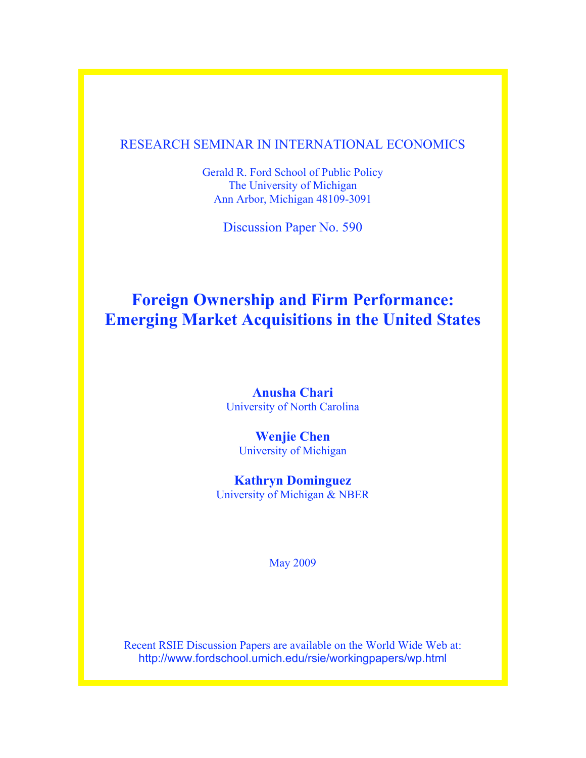# RESEARCH SEMINAR IN INTERNATIONAL ECONOMICS

Gerald R. Ford School of Public Policy The University of Michigan Ann Arbor, Michigan 48109-3091

Discussion Paper No. 590

# **Foreign Ownership and Firm Performance: Emerging Market Acquisitions in the United States**

**Anusha Chari** University of North Carolina

**Wenjie Chen** University of Michigan

**Kathryn Dominguez** University of Michigan & NBER

May 2009

Recent RSIE Discussion Papers are available on the World Wide Web at: http://www.fordschool.umich.edu/rsie/workingpapers/wp.html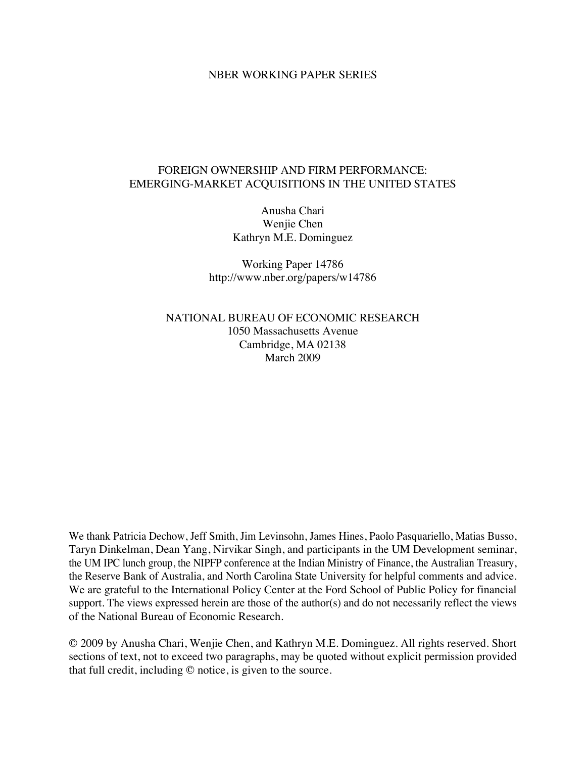## NBER WORKING PAPER SERIES

# FOREIGN OWNERSHIP AND FIRM PERFORMANCE: EMERGING-MARKET ACQUISITIONS IN THE UNITED STATES

Anusha Chari Wenjie Chen Kathryn M.E. Dominguez

Working Paper 14786 http://www.nber.org/papers/w14786

NATIONAL BUREAU OF ECONOMIC RESEARCH 1050 Massachusetts Avenue Cambridge, MA 02138 March 2009

We thank Patricia Dechow, Jeff Smith, Jim Levinsohn, James Hines, Paolo Pasquariello, Matias Busso, Taryn Dinkelman, Dean Yang, Nirvikar Singh, and participants in the UM Development seminar, the UM IPC lunch group, the NIPFP conference at the Indian Ministry of Finance, the Australian Treasury, the Reserve Bank of Australia, and North Carolina State University for helpful comments and advice. We are grateful to the International Policy Center at the Ford School of Public Policy for financial support. The views expressed herein are those of the author(s) and do not necessarily reflect the views of the National Bureau of Economic Research.

© 2009 by Anusha Chari, Wenjie Chen, and Kathryn M.E. Dominguez. All rights reserved. Short sections of text, not to exceed two paragraphs, may be quoted without explicit permission provided that full credit, including © notice, is given to the source.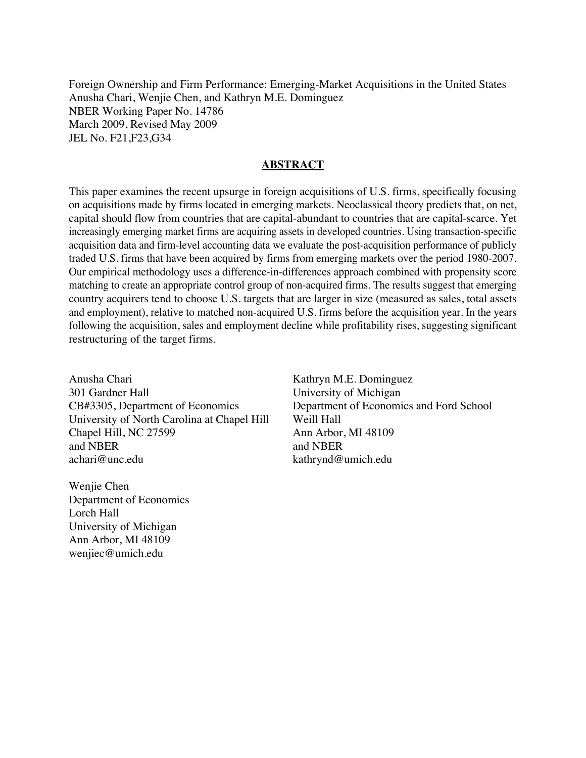Foreign Ownership and Firm Performance: Emerging-Market Acquisitions in the United States Anusha Chari, Wenjie Chen, and Kathryn M.E. Dominguez NBER Working Paper No. 14786 March 2009, Revised May 2009 JEL No. F21,F23,G34

# **ABSTRACT**

This paper examines the recent upsurge in foreign acquisitions of U.S. firms, specifically focusing on acquisitions made by firms located in emerging markets. Neoclassical theory predicts that, on net, capital should flow from countries that are capital-abundant to countries that are capital-scarce. Yet increasingly emerging market firms are acquiring assets in developed countries. Using transaction-specific acquisition data and firm-level accounting data we evaluate the post-acquisition performance of publicly traded U.S. firms that have been acquired by firms from emerging markets over the period 1980-2007. Our empirical methodology uses a difference-in-differences approach combined with propensity score matching to create an appropriate control group of non-acquired firms. The results suggest that emerging country acquirers tend to choose U.S. targets that are larger in size (measured as sales, total assets and employment), relative to matched non-acquired U.S. firms before the acquisition year. In the years following the acquisition, sales and employment decline while profitability rises, suggesting significant restructuring of the target firms.

Anusha Chari 301 Gardner Hall CB#3305, Department of Economics University of North Carolina at Chapel Hill Chapel Hill, NC 27599 and NBER achari@unc.edu

Wenjie Chen Department of Economics Lorch Hall University of Michigan Ann Arbor, MI 48109 wenjiec@umich.edu

Kathryn M.E. Dominguez University of Michigan Department of Economics and Ford School Weill Hall Ann Arbor, MI 48109 and NBER kathrynd@umich.edu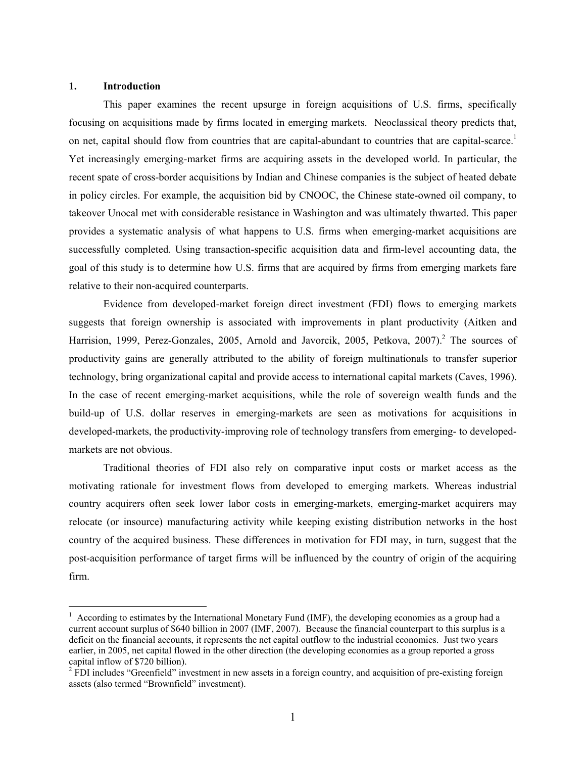#### **1. Introduction**

 $\overline{a}$ 

This paper examines the recent upsurge in foreign acquisitions of U.S. firms, specifically focusing on acquisitions made by firms located in emerging markets. Neoclassical theory predicts that, on net, capital should flow from countries that are capital-abundant to countries that are capital-scarce.<sup>1</sup> Yet increasingly emerging-market firms are acquiring assets in the developed world. In particular, the recent spate of cross-border acquisitions by Indian and Chinese companies is the subject of heated debate in policy circles. For example, the acquisition bid by CNOOC, the Chinese state-owned oil company, to takeover Unocal met with considerable resistance in Washington and was ultimately thwarted. This paper provides a systematic analysis of what happens to U.S. firms when emerging-market acquisitions are successfully completed. Using transaction-specific acquisition data and firm-level accounting data, the goal of this study is to determine how U.S. firms that are acquired by firms from emerging markets fare relative to their non-acquired counterparts.

 Evidence from developed-market foreign direct investment (FDI) flows to emerging markets suggests that foreign ownership is associated with improvements in plant productivity (Aitken and Harrision, 1999, Perez-Gonzales, 2005, Arnold and Javorcik, 2005, Petkova, 2007).<sup>2</sup> The sources of productivity gains are generally attributed to the ability of foreign multinationals to transfer superior technology, bring organizational capital and provide access to international capital markets (Caves, 1996). In the case of recent emerging-market acquisitions, while the role of sovereign wealth funds and the build-up of U.S. dollar reserves in emerging-markets are seen as motivations for acquisitions in developed-markets, the productivity-improving role of technology transfers from emerging- to developedmarkets are not obvious.

Traditional theories of FDI also rely on comparative input costs or market access as the motivating rationale for investment flows from developed to emerging markets. Whereas industrial country acquirers often seek lower labor costs in emerging-markets, emerging-market acquirers may relocate (or insource) manufacturing activity while keeping existing distribution networks in the host country of the acquired business. These differences in motivation for FDI may, in turn, suggest that the post-acquisition performance of target firms will be influenced by the country of origin of the acquiring firm.

 $1$  According to estimates by the International Monetary Fund (IMF), the developing economies as a group had a current account surplus of \$640 billion in 2007 (IMF, 2007). Because the financial counterpart to this surplus is a deficit on the financial accounts, it represents the net capital outflow to the industrial economies. Just two years earlier, in 2005, net capital flowed in the other direction (the developing economies as a group reported a gross capital inflow of \$720 billion).

 $2$  FDI includes "Greenfield" investment in new assets in a foreign country, and acquisition of pre-existing foreign assets (also termed "Brownfield" investment).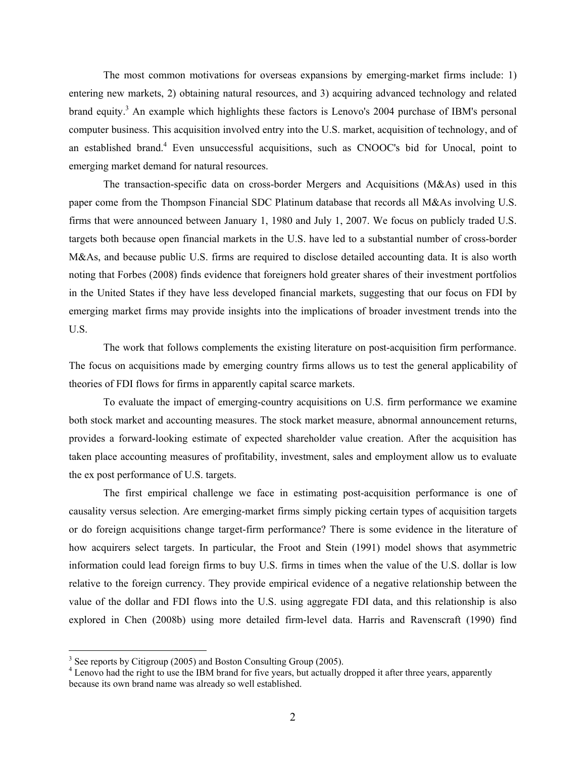The most common motivations for overseas expansions by emerging-market firms include: 1) entering new markets, 2) obtaining natural resources, and 3) acquiring advanced technology and related brand equity.<sup>3</sup> An example which highlights these factors is Lenovo's 2004 purchase of IBM's personal computer business. This acquisition involved entry into the U.S. market, acquisition of technology, and of an established brand.<sup>4</sup> Even unsuccessful acquisitions, such as CNOOC's bid for Unocal, point to emerging market demand for natural resources.

The transaction-specific data on cross-border Mergers and Acquisitions (M&As) used in this paper come from the Thompson Financial SDC Platinum database that records all M&As involving U.S. firms that were announced between January 1, 1980 and July 1, 2007. We focus on publicly traded U.S. targets both because open financial markets in the U.S. have led to a substantial number of cross-border M&As, and because public U.S. firms are required to disclose detailed accounting data. It is also worth noting that Forbes (2008) finds evidence that foreigners hold greater shares of their investment portfolios in the United States if they have less developed financial markets, suggesting that our focus on FDI by emerging market firms may provide insights into the implications of broader investment trends into the U.S.

The work that follows complements the existing literature on post-acquisition firm performance. The focus on acquisitions made by emerging country firms allows us to test the general applicability of theories of FDI flows for firms in apparently capital scarce markets.

To evaluate the impact of emerging-country acquisitions on U.S. firm performance we examine both stock market and accounting measures. The stock market measure, abnormal announcement returns, provides a forward-looking estimate of expected shareholder value creation. After the acquisition has taken place accounting measures of profitability, investment, sales and employment allow us to evaluate the ex post performance of U.S. targets.

The first empirical challenge we face in estimating post-acquisition performance is one of causality versus selection. Are emerging-market firms simply picking certain types of acquisition targets or do foreign acquisitions change target-firm performance? There is some evidence in the literature of how acquirers select targets. In particular, the Froot and Stein (1991) model shows that asymmetric information could lead foreign firms to buy U.S. firms in times when the value of the U.S. dollar is low relative to the foreign currency. They provide empirical evidence of a negative relationship between the value of the dollar and FDI flows into the U.S. using aggregate FDI data, and this relationship is also explored in Chen (2008b) using more detailed firm-level data. Harris and Ravenscraft (1990) find

 $\overline{a}$ 

 $3$  See reports by Citigroup (2005) and Boston Consulting Group (2005).

<sup>&</sup>lt;sup>4</sup> Lenovo had the right to use the IBM brand for five years, but actually dropped it after three years, apparently because its own brand name was already so well established.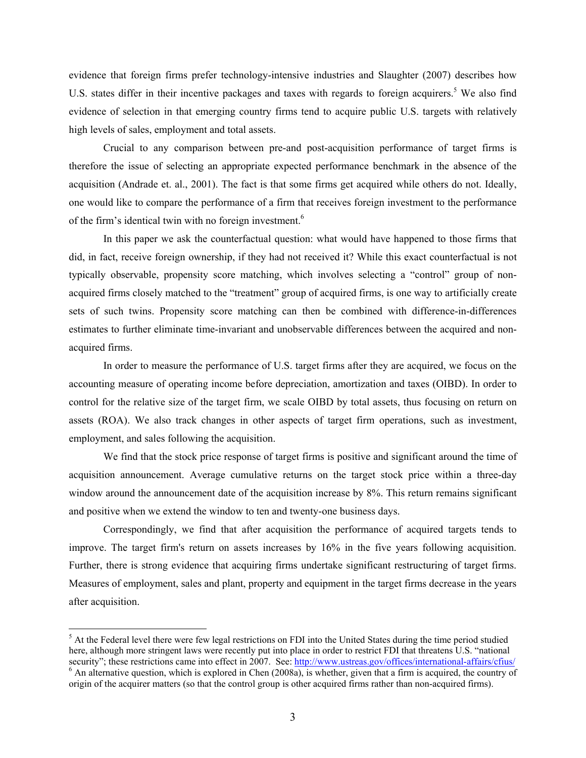evidence that foreign firms prefer technology-intensive industries and Slaughter (2007) describes how U.S. states differ in their incentive packages and taxes with regards to foreign acquirers.<sup>5</sup> We also find evidence of selection in that emerging country firms tend to acquire public U.S. targets with relatively high levels of sales, employment and total assets.

Crucial to any comparison between pre-and post-acquisition performance of target firms is therefore the issue of selecting an appropriate expected performance benchmark in the absence of the acquisition (Andrade et. al., 2001). The fact is that some firms get acquired while others do not. Ideally, one would like to compare the performance of a firm that receives foreign investment to the performance of the firm's identical twin with no foreign investment.<sup>6</sup>

In this paper we ask the counterfactual question: what would have happened to those firms that did, in fact, receive foreign ownership, if they had not received it? While this exact counterfactual is not typically observable, propensity score matching, which involves selecting a "control" group of nonacquired firms closely matched to the "treatment" group of acquired firms, is one way to artificially create sets of such twins. Propensity score matching can then be combined with difference-in-differences estimates to further eliminate time-invariant and unobservable differences between the acquired and nonacquired firms.

In order to measure the performance of U.S. target firms after they are acquired, we focus on the accounting measure of operating income before depreciation, amortization and taxes (OIBD). In order to control for the relative size of the target firm, we scale OIBD by total assets, thus focusing on return on assets (ROA). We also track changes in other aspects of target firm operations, such as investment, employment, and sales following the acquisition.

We find that the stock price response of target firms is positive and significant around the time of acquisition announcement. Average cumulative returns on the target stock price within a three-day window around the announcement date of the acquisition increase by 8%. This return remains significant and positive when we extend the window to ten and twenty-one business days.

Correspondingly, we find that after acquisition the performance of acquired targets tends to improve. The target firm's return on assets increases by 16% in the five years following acquisition. Further, there is strong evidence that acquiring firms undertake significant restructuring of target firms. Measures of employment, sales and plant, property and equipment in the target firms decrease in the years after acquisition.

 $\overline{a}$ 

<sup>&</sup>lt;sup>5</sup> At the Federal level there were few legal restrictions on FDI into the United States during the time period studied here, although more stringent laws were recently put into place in order to restrict FDI that threatens U.S. "national security"; these restrictions came into effect in 2007. See: http://www.ustreas.gov/offices/international-affairs/cfius/  $6$  An alternative question, which is explored in Chen (2008a), is whether, given that a firm is acquired, the country of origin of the acquirer matters (so that the control group is other acquired firms rather than non-acquired firms).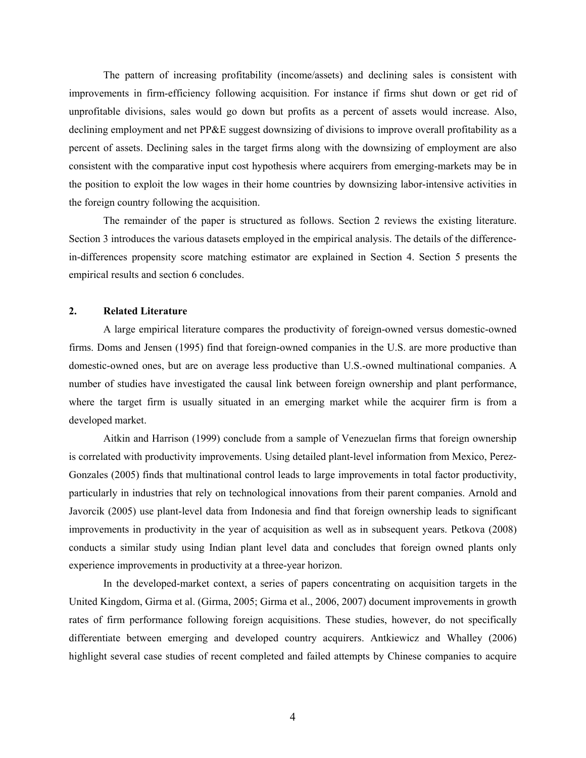The pattern of increasing profitability (income/assets) and declining sales is consistent with improvements in firm-efficiency following acquisition. For instance if firms shut down or get rid of unprofitable divisions, sales would go down but profits as a percent of assets would increase. Also, declining employment and net PP&E suggest downsizing of divisions to improve overall profitability as a percent of assets. Declining sales in the target firms along with the downsizing of employment are also consistent with the comparative input cost hypothesis where acquirers from emerging-markets may be in the position to exploit the low wages in their home countries by downsizing labor-intensive activities in the foreign country following the acquisition.

The remainder of the paper is structured as follows. Section 2 reviews the existing literature. Section 3 introduces the various datasets employed in the empirical analysis. The details of the differencein-differences propensity score matching estimator are explained in Section 4. Section 5 presents the empirical results and section 6 concludes.

# **2. Related Literature**

A large empirical literature compares the productivity of foreign-owned versus domestic-owned firms. Doms and Jensen (1995) find that foreign-owned companies in the U.S. are more productive than domestic-owned ones, but are on average less productive than U.S.-owned multinational companies. A number of studies have investigated the causal link between foreign ownership and plant performance, where the target firm is usually situated in an emerging market while the acquirer firm is from a developed market.

Aitkin and Harrison (1999) conclude from a sample of Venezuelan firms that foreign ownership is correlated with productivity improvements. Using detailed plant-level information from Mexico, Perez-Gonzales (2005) finds that multinational control leads to large improvements in total factor productivity, particularly in industries that rely on technological innovations from their parent companies. Arnold and Javorcik (2005) use plant-level data from Indonesia and find that foreign ownership leads to significant improvements in productivity in the year of acquisition as well as in subsequent years. Petkova (2008) conducts a similar study using Indian plant level data and concludes that foreign owned plants only experience improvements in productivity at a three-year horizon.

In the developed-market context, a series of papers concentrating on acquisition targets in the United Kingdom, Girma et al. (Girma, 2005; Girma et al., 2006, 2007) document improvements in growth rates of firm performance following foreign acquisitions. These studies, however, do not specifically differentiate between emerging and developed country acquirers. Antkiewicz and Whalley (2006) highlight several case studies of recent completed and failed attempts by Chinese companies to acquire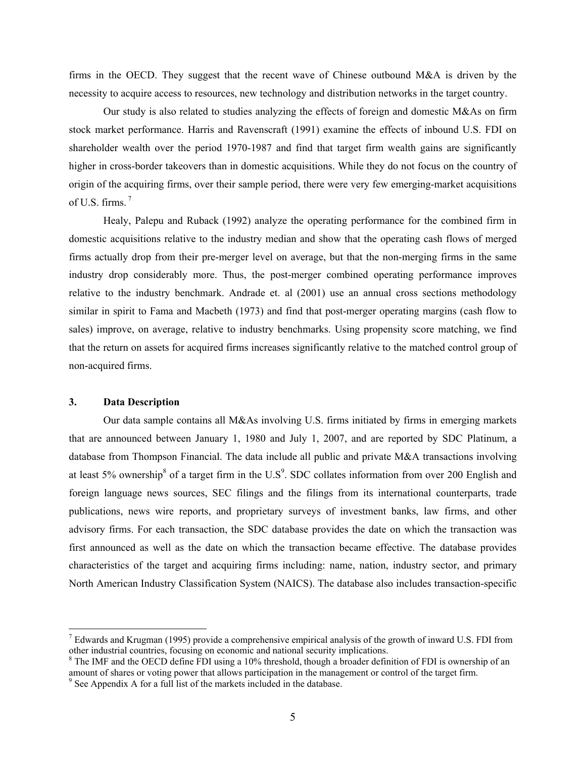firms in the OECD. They suggest that the recent wave of Chinese outbound M&A is driven by the necessity to acquire access to resources, new technology and distribution networks in the target country.

Our study is also related to studies analyzing the effects of foreign and domestic M&As on firm stock market performance. Harris and Ravenscraft (1991) examine the effects of inbound U.S. FDI on shareholder wealth over the period 1970-1987 and find that target firm wealth gains are significantly higher in cross-border takeovers than in domestic acquisitions. While they do not focus on the country of origin of the acquiring firms, over their sample period, there were very few emerging-market acquisitions of U.S. firms. 7

Healy, Palepu and Ruback (1992) analyze the operating performance for the combined firm in domestic acquisitions relative to the industry median and show that the operating cash flows of merged firms actually drop from their pre-merger level on average, but that the non-merging firms in the same industry drop considerably more. Thus, the post-merger combined operating performance improves relative to the industry benchmark. Andrade et. al (2001) use an annual cross sections methodology similar in spirit to Fama and Macbeth (1973) and find that post-merger operating margins (cash flow to sales) improve, on average, relative to industry benchmarks. Using propensity score matching, we find that the return on assets for acquired firms increases significantly relative to the matched control group of non-acquired firms.

#### **3. Data Description**

 $\overline{a}$ 

Our data sample contains all M&As involving U.S. firms initiated by firms in emerging markets that are announced between January 1, 1980 and July 1, 2007, and are reported by SDC Platinum, a database from Thompson Financial. The data include all public and private M&A transactions involving at least 5% ownership<sup>8</sup> of a target firm in the U.S<sup>9</sup>. SDC collates information from over 200 English and foreign language news sources, SEC filings and the filings from its international counterparts, trade publications, news wire reports, and proprietary surveys of investment banks, law firms, and other advisory firms. For each transaction, the SDC database provides the date on which the transaction was first announced as well as the date on which the transaction became effective. The database provides characteristics of the target and acquiring firms including: name, nation, industry sector, and primary North American Industry Classification System (NAICS). The database also includes transaction-specific

 $<sup>7</sup>$  Edwards and Krugman (1995) provide a comprehensive empirical analysis of the growth of inward U.S. FDI from</sup> other industrial countries, focusing on economic and national security implications.

<sup>&</sup>lt;sup>8</sup> The IMF and the OECD define FDI using a 10% threshold, though a broader definition of FDI is ownership of an amount of shares or voting power that allows participation in the management or control of the target firm.

<sup>&</sup>lt;sup>9</sup> See Appendix A for a full list of the markets included in the database.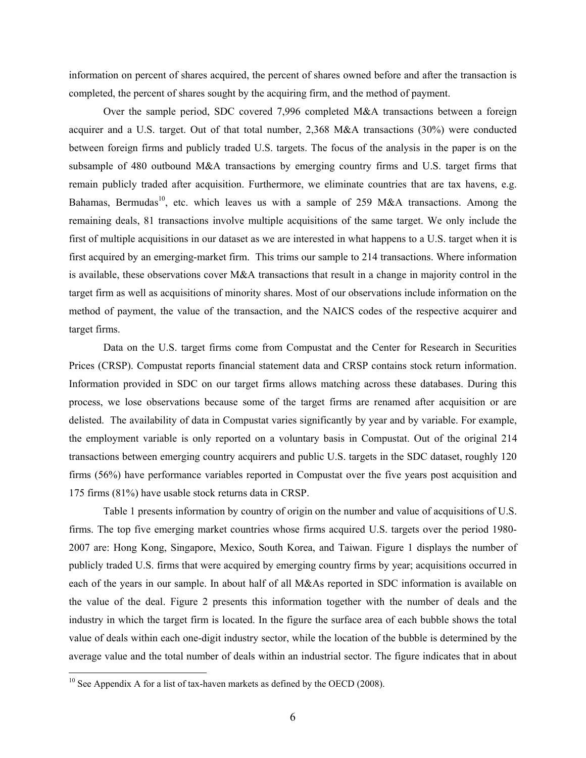information on percent of shares acquired, the percent of shares owned before and after the transaction is completed, the percent of shares sought by the acquiring firm, and the method of payment.

Over the sample period, SDC covered 7,996 completed M&A transactions between a foreign acquirer and a U.S. target. Out of that total number, 2,368 M&A transactions (30%) were conducted between foreign firms and publicly traded U.S. targets. The focus of the analysis in the paper is on the subsample of 480 outbound M&A transactions by emerging country firms and U.S. target firms that remain publicly traded after acquisition. Furthermore, we eliminate countries that are tax havens, e.g. Bahamas, Bermudas<sup>10</sup>, etc. which leaves us with a sample of 259 M&A transactions. Among the remaining deals, 81 transactions involve multiple acquisitions of the same target. We only include the first of multiple acquisitions in our dataset as we are interested in what happens to a U.S. target when it is first acquired by an emerging-market firm. This trims our sample to 214 transactions. Where information is available, these observations cover M&A transactions that result in a change in majority control in the target firm as well as acquisitions of minority shares. Most of our observations include information on the method of payment, the value of the transaction, and the NAICS codes of the respective acquirer and target firms.

Data on the U.S. target firms come from Compustat and the Center for Research in Securities Prices (CRSP). Compustat reports financial statement data and CRSP contains stock return information. Information provided in SDC on our target firms allows matching across these databases. During this process, we lose observations because some of the target firms are renamed after acquisition or are delisted. The availability of data in Compustat varies significantly by year and by variable. For example, the employment variable is only reported on a voluntary basis in Compustat. Out of the original 214 transactions between emerging country acquirers and public U.S. targets in the SDC dataset, roughly 120 firms (56%) have performance variables reported in Compustat over the five years post acquisition and 175 firms (81%) have usable stock returns data in CRSP.

Table 1 presents information by country of origin on the number and value of acquisitions of U.S. firms. The top five emerging market countries whose firms acquired U.S. targets over the period 1980- 2007 are: Hong Kong, Singapore, Mexico, South Korea, and Taiwan. Figure 1 displays the number of publicly traded U.S. firms that were acquired by emerging country firms by year; acquisitions occurred in each of the years in our sample. In about half of all M&As reported in SDC information is available on the value of the deal. Figure 2 presents this information together with the number of deals and the industry in which the target firm is located. In the figure the surface area of each bubble shows the total value of deals within each one-digit industry sector, while the location of the bubble is determined by the average value and the total number of deals within an industrial sector. The figure indicates that in about

 $\overline{a}$ 

 $10$  See Appendix A for a list of tax-haven markets as defined by the OECD (2008).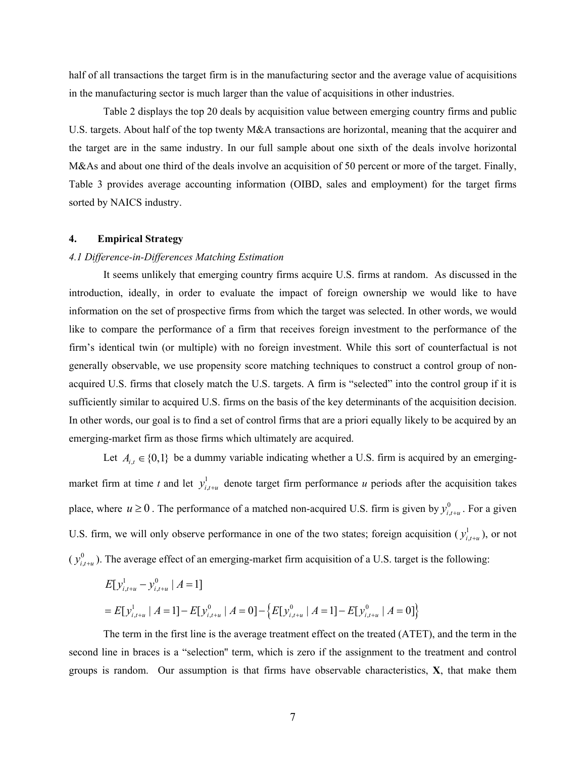half of all transactions the target firm is in the manufacturing sector and the average value of acquisitions in the manufacturing sector is much larger than the value of acquisitions in other industries.

Table 2 displays the top 20 deals by acquisition value between emerging country firms and public U.S. targets. About half of the top twenty M&A transactions are horizontal, meaning that the acquirer and the target are in the same industry. In our full sample about one sixth of the deals involve horizontal M&As and about one third of the deals involve an acquisition of 50 percent or more of the target. Finally, Table 3 provides average accounting information (OIBD, sales and employment) for the target firms sorted by NAICS industry.

#### **4. Empirical Strategy**

#### *4.1 Difference-in-Differences Matching Estimation*

It seems unlikely that emerging country firms acquire U.S. firms at random. As discussed in the introduction, ideally, in order to evaluate the impact of foreign ownership we would like to have information on the set of prospective firms from which the target was selected. In other words, we would like to compare the performance of a firm that receives foreign investment to the performance of the firm's identical twin (or multiple) with no foreign investment. While this sort of counterfactual is not generally observable, we use propensity score matching techniques to construct a control group of nonacquired U.S. firms that closely match the U.S. targets. A firm is "selected" into the control group if it is sufficiently similar to acquired U.S. firms on the basis of the key determinants of the acquisition decision. In other words, our goal is to find a set of control firms that are a priori equally likely to be acquired by an emerging-market firm as those firms which ultimately are acquired.

Let  $A_{i,t} \in \{0,1\}$  be a dummy variable indicating whether a U.S. firm is acquired by an emergingmarket firm at time *t* and let  $y_{i,t+u}^1$  denote target firm performance *u* periods after the acquisition takes place, where  $u \ge 0$ . The performance of a matched non-acquired U.S. firm is given by  $y_{i,t+u}^0$ . For a given U.S. firm, we will only observe performance in one of the two states; foreign acquisition  $(y_{i,t+u}^1)$ , or not  $(y_{i,t+u}^0)$ . The average effect of an emerging-market firm acquisition of a U.S. target is the following:

$$
E[y_{i,t+u}^1 - y_{i,t+u}^0 \mid A = 1]
$$
  
=  $E[y_{i,t+u}^1 \mid A = 1] - E[y_{i,t+u}^0 \mid A = 0] - \{E[y_{i,t+u}^0 \mid A = 1] - E[y_{i,t+u}^0 \mid A = 0]\}$ 

The term in the first line is the average treatment effect on the treated (ATET), and the term in the second line in braces is a "selection'' term, which is zero if the assignment to the treatment and control groups is random. Our assumption is that firms have observable characteristics, **X**, that make them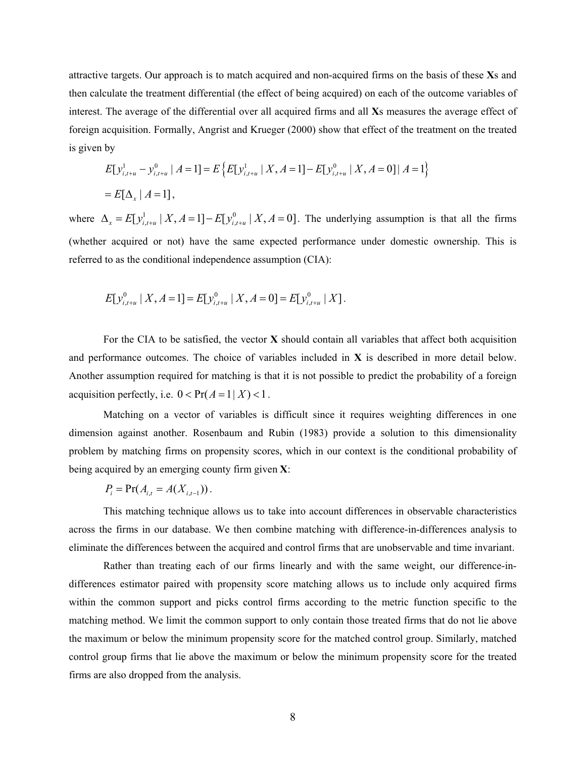attractive targets. Our approach is to match acquired and non-acquired firms on the basis of these **X**s and then calculate the treatment differential (the effect of being acquired) on each of the outcome variables of interest. The average of the differential over all acquired firms and all **X**s measures the average effect of foreign acquisition. Formally, Angrist and Krueger (2000) show that effect of the treatment on the treated is given by

$$
E[y_{i,t+u}^1 - y_{i,t+u}^0 \mid A = 1] = E\left\{E[y_{i,t+u}^1 \mid X, A = 1] - E[y_{i,t+u}^0 \mid X, A = 0] \mid A = 1\right\}
$$
  
=  $E[\Delta_x \mid A = 1]$ ,

where  $\Delta_x = E[y_{i,t+u}^1 | X, A=1] - E[y_{i,t+u}^0 | X, A=0]$ . The underlying assumption is that all the firms (whether acquired or not) have the same expected performance under domestic ownership. This is referred to as the conditional independence assumption (CIA):

$$
E[y_{i,t+u}^0 | X, A=1] = E[y_{i,t+u}^0 | X, A=0] = E[y_{i,t+u}^0 | X].
$$

For the CIA to be satisfied, the vector **X** should contain all variables that affect both acquisition and performance outcomes. The choice of variables included in **X** is described in more detail below. Another assumption required for matching is that it is not possible to predict the probability of a foreign acquisition perfectly, i.e.  $0 < \Pr(A = 1 | X) < 1$ .

Matching on a vector of variables is difficult since it requires weighting differences in one dimension against another. Rosenbaum and Rubin (1983) provide a solution to this dimensionality problem by matching firms on propensity scores, which in our context is the conditional probability of being acquired by an emerging county firm given **X**:

$$
P_i = \Pr(A_{i,t} = A(X_{i,t-1})).
$$

This matching technique allows us to take into account differences in observable characteristics across the firms in our database. We then combine matching with difference-in-differences analysis to eliminate the differences between the acquired and control firms that are unobservable and time invariant.

Rather than treating each of our firms linearly and with the same weight, our difference-indifferences estimator paired with propensity score matching allows us to include only acquired firms within the common support and picks control firms according to the metric function specific to the matching method. We limit the common support to only contain those treated firms that do not lie above the maximum or below the minimum propensity score for the matched control group. Similarly, matched control group firms that lie above the maximum or below the minimum propensity score for the treated firms are also dropped from the analysis.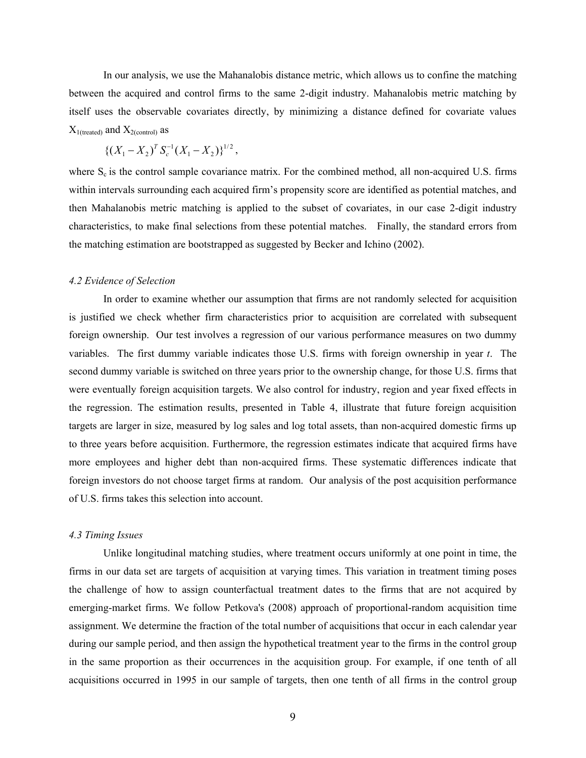In our analysis, we use the Mahanalobis distance metric, which allows us to confine the matching between the acquired and control firms to the same 2-digit industry. Mahanalobis metric matching by itself uses the observable covariates directly, by minimizing a distance defined for covariate values  $X_{1(treated)}$  and  $X_{2(control)}$  as

$$
\{(X_1 - X_2)^T S_c^{-1} (X_1 - X_2)\}^{1/2},
$$

where  $S_c$  is the control sample covariance matrix. For the combined method, all non-acquired U.S. firms within intervals surrounding each acquired firm's propensity score are identified as potential matches, and then Mahalanobis metric matching is applied to the subset of covariates, in our case 2-digit industry characteristics, to make final selections from these potential matches. Finally, the standard errors from the matching estimation are bootstrapped as suggested by Becker and Ichino (2002).

#### *4.2 Evidence of Selection*

In order to examine whether our assumption that firms are not randomly selected for acquisition is justified we check whether firm characteristics prior to acquisition are correlated with subsequent foreign ownership. Our test involves a regression of our various performance measures on two dummy variables. The first dummy variable indicates those U.S. firms with foreign ownership in year *t*. The second dummy variable is switched on three years prior to the ownership change, for those U.S. firms that were eventually foreign acquisition targets. We also control for industry, region and year fixed effects in the regression. The estimation results, presented in Table 4, illustrate that future foreign acquisition targets are larger in size, measured by log sales and log total assets, than non-acquired domestic firms up to three years before acquisition. Furthermore, the regression estimates indicate that acquired firms have more employees and higher debt than non-acquired firms. These systematic differences indicate that foreign investors do not choose target firms at random. Our analysis of the post acquisition performance of U.S. firms takes this selection into account.

#### *4.3 Timing Issues*

Unlike longitudinal matching studies, where treatment occurs uniformly at one point in time, the firms in our data set are targets of acquisition at varying times. This variation in treatment timing poses the challenge of how to assign counterfactual treatment dates to the firms that are not acquired by emerging-market firms. We follow Petkova's (2008) approach of proportional-random acquisition time assignment. We determine the fraction of the total number of acquisitions that occur in each calendar year during our sample period, and then assign the hypothetical treatment year to the firms in the control group in the same proportion as their occurrences in the acquisition group. For example, if one tenth of all acquisitions occurred in 1995 in our sample of targets, then one tenth of all firms in the control group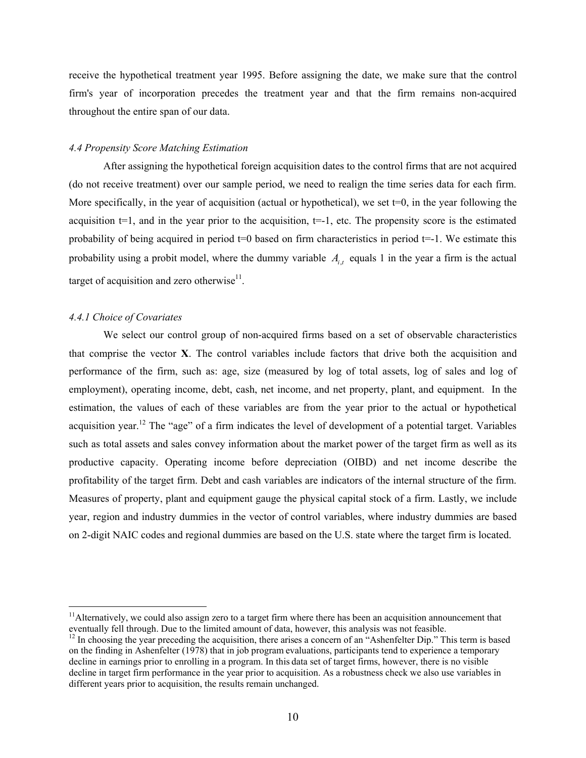receive the hypothetical treatment year 1995. Before assigning the date, we make sure that the control firm's year of incorporation precedes the treatment year and that the firm remains non-acquired throughout the entire span of our data.

## *4.4 Propensity Score Matching Estimation*

After assigning the hypothetical foreign acquisition dates to the control firms that are not acquired (do not receive treatment) over our sample period, we need to realign the time series data for each firm. More specifically, in the year of acquisition (actual or hypothetical), we set  $t=0$ , in the year following the acquisition  $t=1$ , and in the year prior to the acquisition,  $t=-1$ , etc. The propensity score is the estimated probability of being acquired in period  $t=0$  based on firm characteristics in period  $t=-1$ . We estimate this probability using a probit model, where the dummy variable  $A_i$ , equals 1 in the year a firm is the actual target of acquisition and zero otherwise $11$ .

## *4.4.1 Choice of Covariates*

 $\overline{a}$ 

We select our control group of non-acquired firms based on a set of observable characteristics that comprise the vector **X**. The control variables include factors that drive both the acquisition and performance of the firm, such as: age, size (measured by log of total assets, log of sales and log of employment), operating income, debt, cash, net income, and net property, plant, and equipment. In the estimation, the values of each of these variables are from the year prior to the actual or hypothetical acquisition year.<sup>12</sup> The "age" of a firm indicates the level of development of a potential target. Variables such as total assets and sales convey information about the market power of the target firm as well as its productive capacity. Operating income before depreciation (OIBD) and net income describe the profitability of the target firm. Debt and cash variables are indicators of the internal structure of the firm. Measures of property, plant and equipment gauge the physical capital stock of a firm. Lastly, we include year, region and industry dummies in the vector of control variables, where industry dummies are based on 2-digit NAIC codes and regional dummies are based on the U.S. state where the target firm is located.

 $<sup>11</sup>$ Alternatively, we could also assign zero to a target firm where there has been an acquisition announcement that</sup> eventually fell through. Due to the limited amount of data, however, this analysis was not feasible.

 $12 \text{ In choosing the year preceding the acquisition, there arises a concern of an "Ashenfelter Dip." This term is based on the original context.}$ on the finding in Ashenfelter (1978) that in job program evaluations, participants tend to experience a temporary decline in earnings prior to enrolling in a program. In this data set of target firms, however, there is no visible decline in target firm performance in the year prior to acquisition. As a robustness check we also use variables in different years prior to acquisition, the results remain unchanged.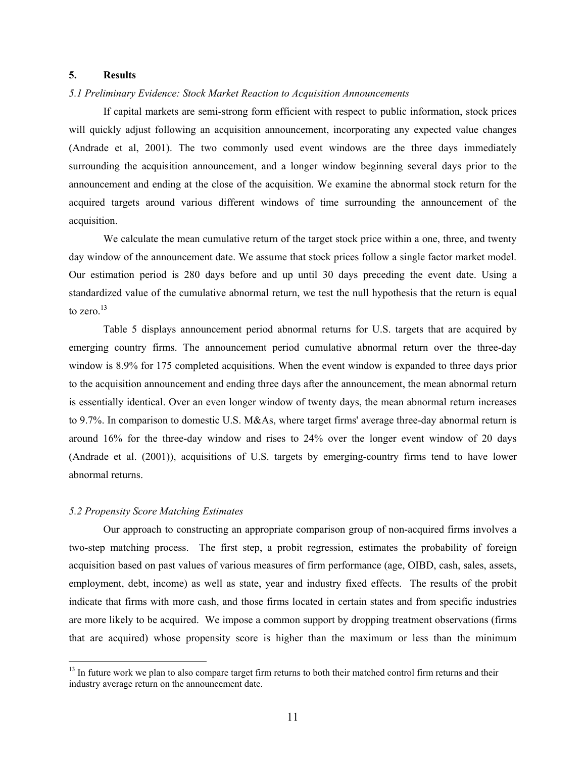#### **5. Results**

#### *5.1 Preliminary Evidence: Stock Market Reaction to Acquisition Announcements*

If capital markets are semi-strong form efficient with respect to public information, stock prices will quickly adjust following an acquisition announcement, incorporating any expected value changes (Andrade et al, 2001). The two commonly used event windows are the three days immediately surrounding the acquisition announcement, and a longer window beginning several days prior to the announcement and ending at the close of the acquisition. We examine the abnormal stock return for the acquired targets around various different windows of time surrounding the announcement of the acquisition.

We calculate the mean cumulative return of the target stock price within a one, three, and twenty day window of the announcement date. We assume that stock prices follow a single factor market model. Our estimation period is 280 days before and up until 30 days preceding the event date. Using a standardized value of the cumulative abnormal return, we test the null hypothesis that the return is equal to zero. $13$ 

Table 5 displays announcement period abnormal returns for U.S. targets that are acquired by emerging country firms. The announcement period cumulative abnormal return over the three-day window is 8.9% for 175 completed acquisitions. When the event window is expanded to three days prior to the acquisition announcement and ending three days after the announcement, the mean abnormal return is essentially identical. Over an even longer window of twenty days, the mean abnormal return increases to 9.7%. In comparison to domestic U.S. M&As, where target firms' average three-day abnormal return is around 16% for the three-day window and rises to 24% over the longer event window of 20 days (Andrade et al. (2001)), acquisitions of U.S. targets by emerging-country firms tend to have lower abnormal returns.

#### *5.2 Propensity Score Matching Estimates*

 $\overline{a}$ 

Our approach to constructing an appropriate comparison group of non-acquired firms involves a two-step matching process. The first step, a probit regression, estimates the probability of foreign acquisition based on past values of various measures of firm performance (age, OIBD, cash, sales, assets, employment, debt, income) as well as state, year and industry fixed effects. The results of the probit indicate that firms with more cash, and those firms located in certain states and from specific industries are more likely to be acquired. We impose a common support by dropping treatment observations (firms that are acquired) whose propensity score is higher than the maximum or less than the minimum

<sup>&</sup>lt;sup>13</sup> In future work we plan to also compare target firm returns to both their matched control firm returns and their industry average return on the announcement date.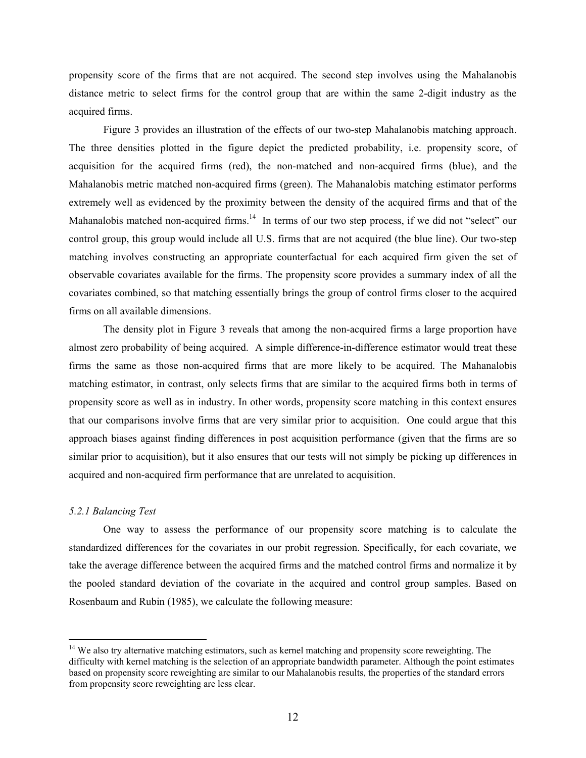propensity score of the firms that are not acquired. The second step involves using the Mahalanobis distance metric to select firms for the control group that are within the same 2-digit industry as the acquired firms.

Figure 3 provides an illustration of the effects of our two-step Mahalanobis matching approach. The three densities plotted in the figure depict the predicted probability, i.e. propensity score, of acquisition for the acquired firms (red), the non-matched and non-acquired firms (blue), and the Mahalanobis metric matched non-acquired firms (green). The Mahanalobis matching estimator performs extremely well as evidenced by the proximity between the density of the acquired firms and that of the Mahanalobis matched non-acquired firms.<sup>14</sup> In terms of our two step process, if we did not "select" our control group, this group would include all U.S. firms that are not acquired (the blue line). Our two-step matching involves constructing an appropriate counterfactual for each acquired firm given the set of observable covariates available for the firms. The propensity score provides a summary index of all the covariates combined, so that matching essentially brings the group of control firms closer to the acquired firms on all available dimensions.

The density plot in Figure 3 reveals that among the non-acquired firms a large proportion have almost zero probability of being acquired. A simple difference-in-difference estimator would treat these firms the same as those non-acquired firms that are more likely to be acquired. The Mahanalobis matching estimator, in contrast, only selects firms that are similar to the acquired firms both in terms of propensity score as well as in industry. In other words, propensity score matching in this context ensures that our comparisons involve firms that are very similar prior to acquisition. One could argue that this approach biases against finding differences in post acquisition performance (given that the firms are so similar prior to acquisition), but it also ensures that our tests will not simply be picking up differences in acquired and non-acquired firm performance that are unrelated to acquisition.

#### *5.2.1 Balancing Test*

 $\overline{a}$ 

One way to assess the performance of our propensity score matching is to calculate the standardized differences for the covariates in our probit regression. Specifically, for each covariate, we take the average difference between the acquired firms and the matched control firms and normalize it by the pooled standard deviation of the covariate in the acquired and control group samples. Based on Rosenbaum and Rubin (1985), we calculate the following measure:

<sup>&</sup>lt;sup>14</sup> We also try alternative matching estimators, such as kernel matching and propensity score reweighting. The difficulty with kernel matching is the selection of an appropriate bandwidth parameter. Although the point estimates based on propensity score reweighting are similar to our Mahalanobis results, the properties of the standard errors from propensity score reweighting are less clear.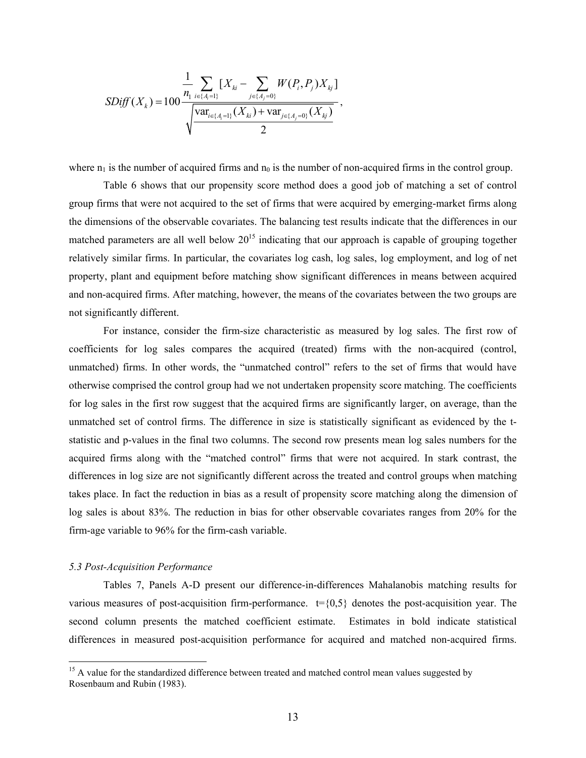$$
SDiff(X_{k}) = 100 \frac{\frac{1}{n_{1}} \sum_{i \in \{A_{i} = 1\}} [X_{ki} - \sum_{j \in \{A_{j} = 0\}} W(P_{i}, P_{j}) X_{kj}]}{\sqrt{\frac{\text{var}_{i \in \{A_{i} = 1\}} (X_{ki}) + \text{var}_{j \in \{A_{j} = 0\}} (X_{kj})}{2}}.
$$

where  $n_1$  is the number of acquired firms and  $n_0$  is the number of non-acquired firms in the control group.

Table 6 shows that our propensity score method does a good job of matching a set of control group firms that were not acquired to the set of firms that were acquired by emerging-market firms along the dimensions of the observable covariates. The balancing test results indicate that the differences in our matched parameters are all well below  $20^{15}$  indicating that our approach is capable of grouping together relatively similar firms. In particular, the covariates log cash, log sales, log employment, and log of net property, plant and equipment before matching show significant differences in means between acquired and non-acquired firms. After matching, however, the means of the covariates between the two groups are not significantly different.

For instance, consider the firm-size characteristic as measured by log sales. The first row of coefficients for log sales compares the acquired (treated) firms with the non-acquired (control, unmatched) firms. In other words, the "unmatched control" refers to the set of firms that would have otherwise comprised the control group had we not undertaken propensity score matching. The coefficients for log sales in the first row suggest that the acquired firms are significantly larger, on average, than the unmatched set of control firms. The difference in size is statistically significant as evidenced by the tstatistic and p-values in the final two columns. The second row presents mean log sales numbers for the acquired firms along with the "matched control" firms that were not acquired. In stark contrast, the differences in log size are not significantly different across the treated and control groups when matching takes place. In fact the reduction in bias as a result of propensity score matching along the dimension of log sales is about 83%. The reduction in bias for other observable covariates ranges from 20% for the firm-age variable to 96% for the firm-cash variable.

#### *5.3 Post-Acquisition Performance*

 $\overline{a}$ 

Tables 7, Panels A-D present our difference-in-differences Mahalanobis matching results for various measures of post-acquisition firm-performance.  $t = \{0,5\}$  denotes the post-acquisition year. The second column presents the matched coefficient estimate. Estimates in bold indicate statistical differences in measured post-acquisition performance for acquired and matched non-acquired firms.

<sup>&</sup>lt;sup>15</sup> A value for the standardized difference between treated and matched control mean values suggested by Rosenbaum and Rubin (1983).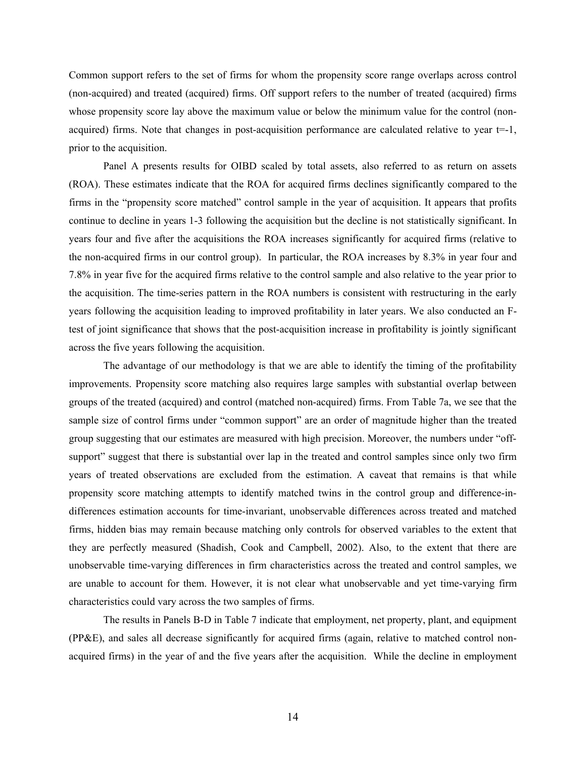Common support refers to the set of firms for whom the propensity score range overlaps across control (non-acquired) and treated (acquired) firms. Off support refers to the number of treated (acquired) firms whose propensity score lay above the maximum value or below the minimum value for the control (nonacquired) firms. Note that changes in post-acquisition performance are calculated relative to year t=-1, prior to the acquisition.

Panel A presents results for OIBD scaled by total assets, also referred to as return on assets (ROA). These estimates indicate that the ROA for acquired firms declines significantly compared to the firms in the "propensity score matched" control sample in the year of acquisition. It appears that profits continue to decline in years 1-3 following the acquisition but the decline is not statistically significant. In years four and five after the acquisitions the ROA increases significantly for acquired firms (relative to the non-acquired firms in our control group). In particular, the ROA increases by 8.3% in year four and 7.8% in year five for the acquired firms relative to the control sample and also relative to the year prior to the acquisition. The time-series pattern in the ROA numbers is consistent with restructuring in the early years following the acquisition leading to improved profitability in later years. We also conducted an Ftest of joint significance that shows that the post-acquisition increase in profitability is jointly significant across the five years following the acquisition.

The advantage of our methodology is that we are able to identify the timing of the profitability improvements. Propensity score matching also requires large samples with substantial overlap between groups of the treated (acquired) and control (matched non-acquired) firms. From Table 7a, we see that the sample size of control firms under "common support" are an order of magnitude higher than the treated group suggesting that our estimates are measured with high precision. Moreover, the numbers under "offsupport" suggest that there is substantial over lap in the treated and control samples since only two firm years of treated observations are excluded from the estimation. A caveat that remains is that while propensity score matching attempts to identify matched twins in the control group and difference-indifferences estimation accounts for time-invariant, unobservable differences across treated and matched firms, hidden bias may remain because matching only controls for observed variables to the extent that they are perfectly measured (Shadish, Cook and Campbell, 2002). Also, to the extent that there are unobservable time-varying differences in firm characteristics across the treated and control samples, we are unable to account for them. However, it is not clear what unobservable and yet time-varying firm characteristics could vary across the two samples of firms.

The results in Panels B-D in Table 7 indicate that employment, net property, plant, and equipment (PP&E), and sales all decrease significantly for acquired firms (again, relative to matched control nonacquired firms) in the year of and the five years after the acquisition. While the decline in employment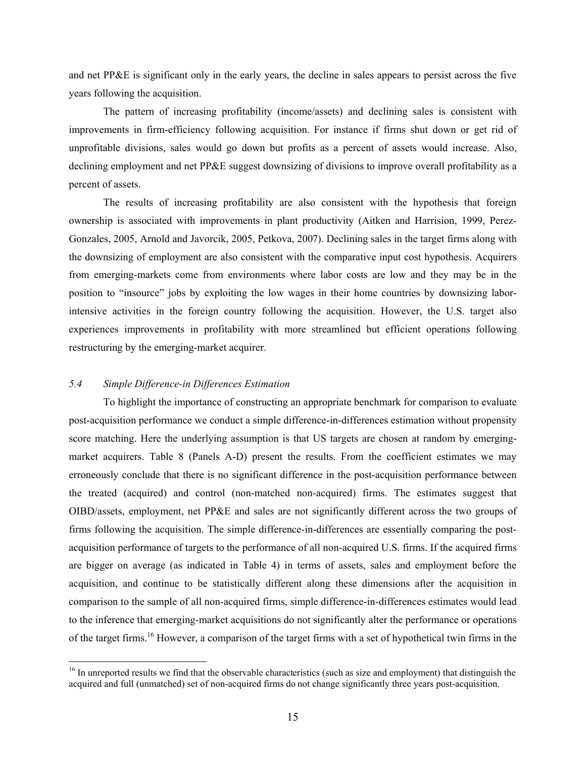and net PP&E is significant only in the early years, the decline in sales appears to persist across the five years following the acquisition.

The pattern of increasing profitability (income/assets) and declining sales is consistent with improvements in firm-efficiency following acquisition. For instance if firms shut down or get rid of unprofitable divisions, sales would go down but profits as a percent of assets would increase. Also, declining employment and net PP&E suggest downsizing of divisions to improve overall profitability as a percent of assets.

The results of increasing profitability are also consistent with the hypothesis that foreign ownership is associated with improvements in plant productivity (Aitken and Harrision, 1999, Perez-Gonzales, 2005, Arnold and Javorcik, 2005, Petkova, 2007). Declining sales in the target firms along with the downsizing of employment are also consistent with the comparative input cost hypothesis. Acquirers from emerging-markets come from environments where labor costs are low and they may be in the position to "insource" jobs by exploiting the low wages in their home countries by downsizing laborintensive activities in the foreign country following the acquisition. However, the U.S. target also experiences improvements in profitability with more streamlined but efficient operations following restructuring by the emerging-market acquirer.

#### *5.4 Simple Difference-in Differences Estimation*

 $\overline{a}$ 

To highlight the importance of constructing an appropriate benchmark for comparison to evaluate post-acquisition performance we conduct a simple difference-in-differences estimation without propensity score matching. Here the underlying assumption is that US targets are chosen at random by emergingmarket acquirers. Table 8 (Panels A-D) present the results. From the coefficient estimates we may erroneously conclude that there is no significant difference in the post-acquisition performance between the treated (acquired) and control (non-matched non-acquired) firms. The estimates suggest that OIBD/assets, employment, net PP&E and sales are not significantly different across the two groups of firms following the acquisition. The simple difference-in-differences are essentially comparing the postacquisition performance of targets to the performance of all non-acquired U.S. firms. If the acquired firms are bigger on average (as indicated in Table 4) in terms of assets, sales and employment before the acquisition, and continue to be statistically different along these dimensions after the acquisition in comparison to the sample of all non-acquired firms, simple difference-in-differences estimates would lead to the inference that emerging-market acquisitions do not significantly alter the performance or operations of the target firms.16 However, a comparison of the target firms with a set of hypothetical twin firms in the

<sup>&</sup>lt;sup>16</sup> In unreported results we find that the observable characteristics (such as size and employment) that distinguish the acquired and full (unmatched) set of non-acquired firms do not change significantly three years post-acquisition.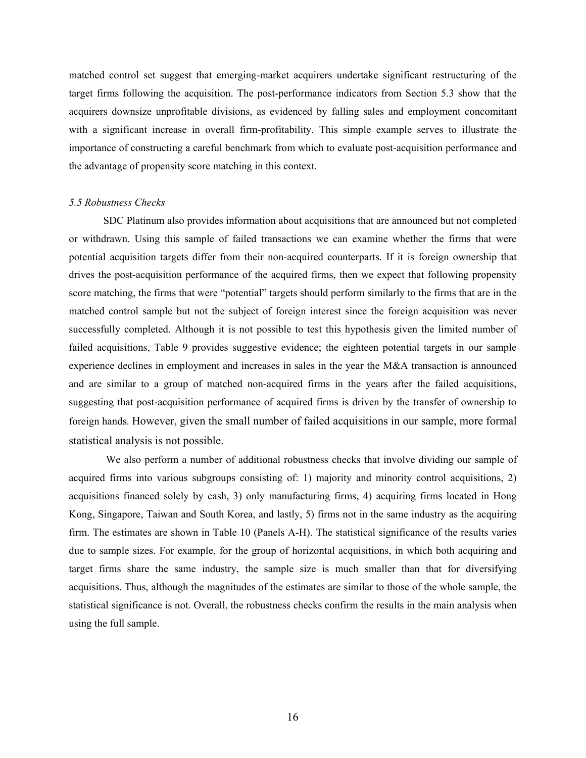matched control set suggest that emerging-market acquirers undertake significant restructuring of the target firms following the acquisition. The post-performance indicators from Section 5.3 show that the acquirers downsize unprofitable divisions, as evidenced by falling sales and employment concomitant with a significant increase in overall firm-profitability. This simple example serves to illustrate the importance of constructing a careful benchmark from which to evaluate post-acquisition performance and the advantage of propensity score matching in this context.

#### *5.5 Robustness Checks*

SDC Platinum also provides information about acquisitions that are announced but not completed or withdrawn. Using this sample of failed transactions we can examine whether the firms that were potential acquisition targets differ from their non-acquired counterparts. If it is foreign ownership that drives the post-acquisition performance of the acquired firms, then we expect that following propensity score matching, the firms that were "potential" targets should perform similarly to the firms that are in the matched control sample but not the subject of foreign interest since the foreign acquisition was never successfully completed. Although it is not possible to test this hypothesis given the limited number of failed acquisitions, Table 9 provides suggestive evidence; the eighteen potential targets in our sample experience declines in employment and increases in sales in the year the M&A transaction is announced and are similar to a group of matched non-acquired firms in the years after the failed acquisitions, suggesting that post-acquisition performance of acquired firms is driven by the transfer of ownership to foreign hands. However, given the small number of failed acquisitions in our sample, more formal statistical analysis is not possible.

 We also perform a number of additional robustness checks that involve dividing our sample of acquired firms into various subgroups consisting of: 1) majority and minority control acquisitions, 2) acquisitions financed solely by cash, 3) only manufacturing firms, 4) acquiring firms located in Hong Kong, Singapore, Taiwan and South Korea, and lastly, 5) firms not in the same industry as the acquiring firm. The estimates are shown in Table 10 (Panels A-H). The statistical significance of the results varies due to sample sizes. For example, for the group of horizontal acquisitions, in which both acquiring and target firms share the same industry, the sample size is much smaller than that for diversifying acquisitions. Thus, although the magnitudes of the estimates are similar to those of the whole sample, the statistical significance is not. Overall, the robustness checks confirm the results in the main analysis when using the full sample.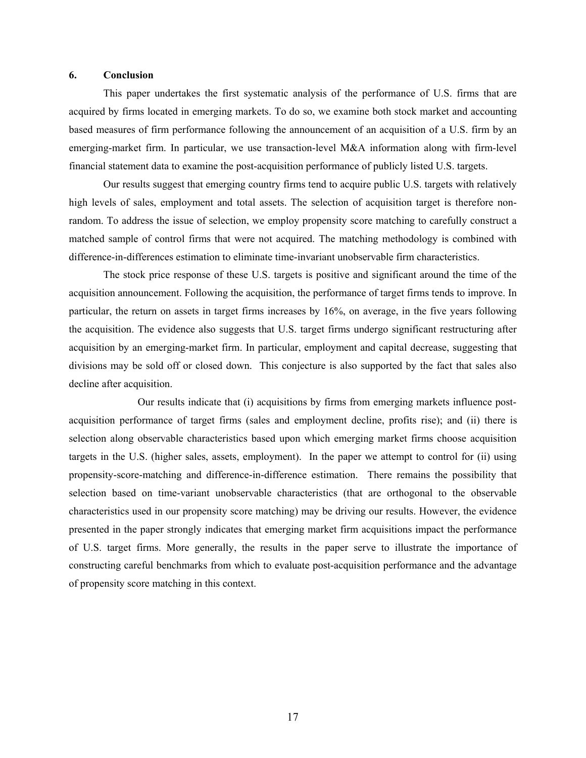#### **6. Conclusion**

This paper undertakes the first systematic analysis of the performance of U.S. firms that are acquired by firms located in emerging markets. To do so, we examine both stock market and accounting based measures of firm performance following the announcement of an acquisition of a U.S. firm by an emerging-market firm. In particular, we use transaction-level M&A information along with firm-level financial statement data to examine the post-acquisition performance of publicly listed U.S. targets.

Our results suggest that emerging country firms tend to acquire public U.S. targets with relatively high levels of sales, employment and total assets. The selection of acquisition target is therefore nonrandom. To address the issue of selection, we employ propensity score matching to carefully construct a matched sample of control firms that were not acquired. The matching methodology is combined with difference-in-differences estimation to eliminate time-invariant unobservable firm characteristics.

The stock price response of these U.S. targets is positive and significant around the time of the acquisition announcement. Following the acquisition, the performance of target firms tends to improve. In particular, the return on assets in target firms increases by 16%, on average, in the five years following the acquisition. The evidence also suggests that U.S. target firms undergo significant restructuring after acquisition by an emerging-market firm. In particular, employment and capital decrease, suggesting that divisions may be sold off or closed down. This conjecture is also supported by the fact that sales also decline after acquisition.

 Our results indicate that (i) acquisitions by firms from emerging markets influence postacquisition performance of target firms (sales and employment decline, profits rise); and (ii) there is selection along observable characteristics based upon which emerging market firms choose acquisition targets in the U.S. (higher sales, assets, employment). In the paper we attempt to control for (ii) using propensity-score-matching and difference-in-difference estimation. There remains the possibility that selection based on time-variant unobservable characteristics (that are orthogonal to the observable characteristics used in our propensity score matching) may be driving our results. However, the evidence presented in the paper strongly indicates that emerging market firm acquisitions impact the performance of U.S. target firms. More generally, the results in the paper serve to illustrate the importance of constructing careful benchmarks from which to evaluate post-acquisition performance and the advantage of propensity score matching in this context.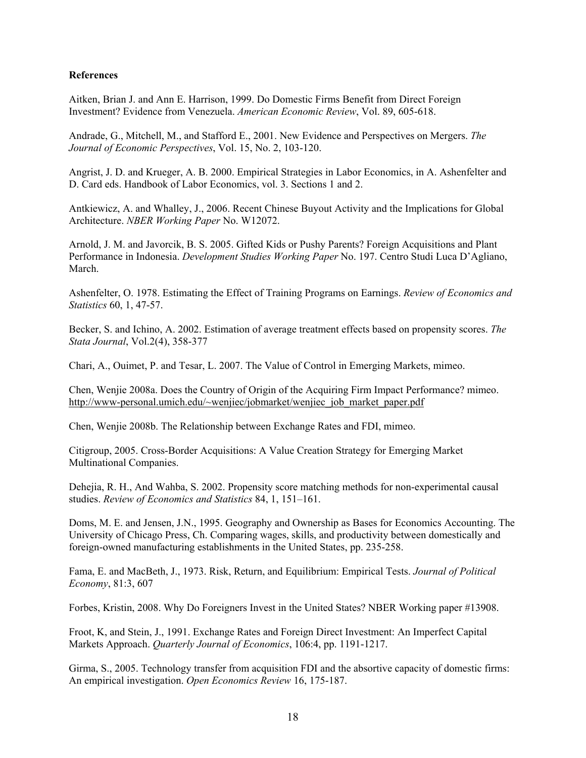# **References**

Aitken, Brian J. and Ann E. Harrison, 1999. Do Domestic Firms Benefit from Direct Foreign Investment? Evidence from Venezuela. *American Economic Review*, Vol. 89, 605-618.

Andrade, G., Mitchell, M., and Stafford E., 2001. New Evidence and Perspectives on Mergers. *The Journal of Economic Perspectives*, Vol. 15, No. 2, 103-120.

Angrist, J. D. and Krueger, A. B. 2000. Empirical Strategies in Labor Economics, in A. Ashenfelter and D. Card eds. Handbook of Labor Economics, vol. 3. Sections 1 and 2.

Antkiewicz, A. and Whalley, J., 2006. Recent Chinese Buyout Activity and the Implications for Global Architecture. *NBER Working Paper* No. W12072.

Arnold, J. M. and Javorcik, B. S. 2005. Gifted Kids or Pushy Parents? Foreign Acquisitions and Plant Performance in Indonesia. *Development Studies Working Paper* No. 197. Centro Studi Luca D'Agliano, March.

Ashenfelter, O. 1978. Estimating the Effect of Training Programs on Earnings. *Review of Economics and Statistics* 60, 1, 47-57.

Becker, S. and Ichino, A. 2002. Estimation of average treatment effects based on propensity scores. *The Stata Journal*, Vol.2(4), 358-377

Chari, A., Ouimet, P. and Tesar, L. 2007. The Value of Control in Emerging Markets, mimeo.

Chen, Wenjie 2008a. Does the Country of Origin of the Acquiring Firm Impact Performance? mimeo. http://www-personal.umich.edu/~wenjiec/jobmarket/wenjiec\_job\_market\_paper.pdf

Chen, Wenjie 2008b. The Relationship between Exchange Rates and FDI, mimeo.

Citigroup, 2005. Cross-Border Acquisitions: A Value Creation Strategy for Emerging Market Multinational Companies.

Dehejia, R. H., And Wahba, S. 2002. Propensity score matching methods for non-experimental causal studies. *Review of Economics and Statistics* 84, 1, 151–161.

Doms, M. E. and Jensen, J.N., 1995. Geography and Ownership as Bases for Economics Accounting. The University of Chicago Press, Ch. Comparing wages, skills, and productivity between domestically and foreign-owned manufacturing establishments in the United States, pp. 235-258.

Fama, E. and MacBeth, J., 1973. Risk, Return, and Equilibrium: Empirical Tests. *Journal of Political Economy*, 81:3, 607

Forbes, Kristin, 2008. Why Do Foreigners Invest in the United States? NBER Working paper #13908.

Froot, K, and Stein, J., 1991. Exchange Rates and Foreign Direct Investment: An Imperfect Capital Markets Approach. *Quarterly Journal of Economics*, 106:4, pp. 1191-1217.

Girma, S., 2005. Technology transfer from acquisition FDI and the absortive capacity of domestic firms: An empirical investigation. *Open Economics Review* 16, 175-187.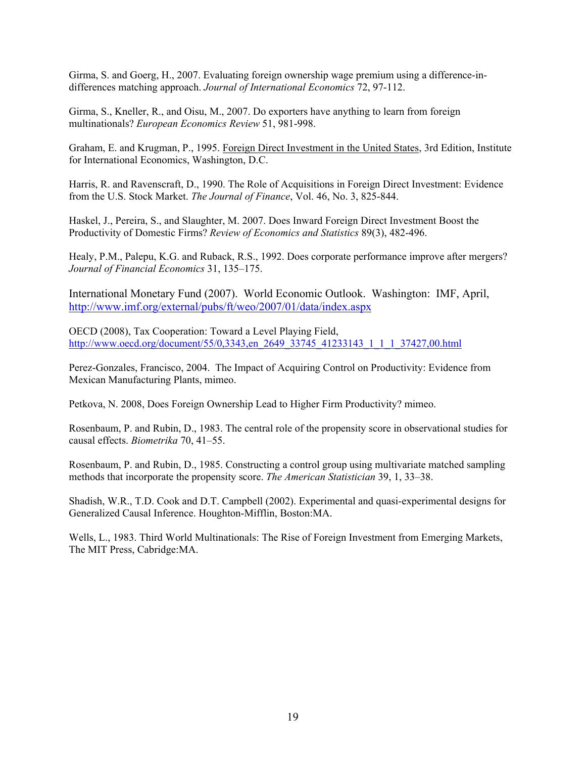Girma, S. and Goerg, H., 2007. Evaluating foreign ownership wage premium using a difference-indifferences matching approach. *Journal of International Economics* 72, 97-112.

Girma, S., Kneller, R., and Oisu, M., 2007. Do exporters have anything to learn from foreign multinationals? *European Economics Review* 51, 981-998.

Graham, E. and Krugman, P., 1995. Foreign Direct Investment in the United States, 3rd Edition, Institute for International Economics, Washington, D.C.

Harris, R. and Ravenscraft, D., 1990. The Role of Acquisitions in Foreign Direct Investment: Evidence from the U.S. Stock Market. *The Journal of Finance*, Vol. 46, No. 3, 825-844.

Haskel, J., Pereira, S., and Slaughter, M. 2007. Does Inward Foreign Direct Investment Boost the Productivity of Domestic Firms? *Review of Economics and Statistics* 89(3), 482-496.

Healy, P.M., Palepu, K.G. and Ruback, R.S., 1992. Does corporate performance improve after mergers? *Journal of Financial Economics* 31, 135–175.

International Monetary Fund (2007). World Economic Outlook. Washington: IMF, April, http://www.imf.org/external/pubs/ft/weo/2007/01/data/index.aspx

OECD (2008), Tax Cooperation: Toward a Level Playing Field, http://www.oecd.org/document/55/0,3343,en\_2649\_33745\_41233143\_1\_1\_1\_37427,00.html

Perez-Gonzales, Francisco, 2004. The Impact of Acquiring Control on Productivity: Evidence from Mexican Manufacturing Plants, mimeo.

Petkova, N. 2008, Does Foreign Ownership Lead to Higher Firm Productivity? mimeo.

Rosenbaum, P. and Rubin, D., 1983. The central role of the propensity score in observational studies for causal effects. *Biometrika* 70, 41–55.

Rosenbaum, P. and Rubin, D., 1985. Constructing a control group using multivariate matched sampling methods that incorporate the propensity score. *The American Statistician* 39, 1, 33–38.

Shadish, W.R., T.D. Cook and D.T. Campbell (2002). Experimental and quasi-experimental designs for Generalized Causal Inference. Houghton-Mifflin, Boston:MA.

Wells, L., 1983. Third World Multinationals: The Rise of Foreign Investment from Emerging Markets, The MIT Press, Cabridge:MA.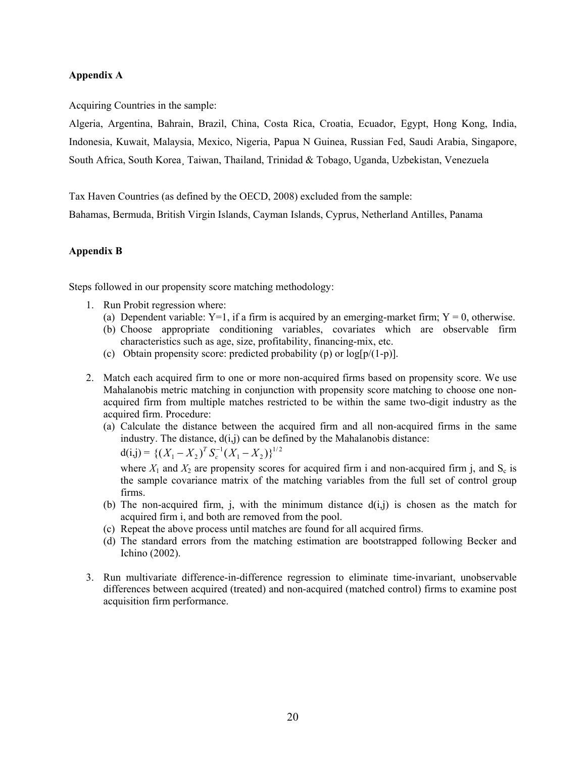# **Appendix A**

Acquiring Countries in the sample:

Algeria, Argentina, Bahrain, Brazil, China, Costa Rica, Croatia, Ecuador, Egypt, Hong Kong, India, Indonesia, Kuwait, Malaysia, Mexico, Nigeria, Papua N Guinea, Russian Fed, Saudi Arabia, Singapore, South Africa, South Korea¸ Taiwan, Thailand, Trinidad & Tobago, Uganda, Uzbekistan, Venezuela

Tax Haven Countries (as defined by the OECD, 2008) excluded from the sample:

Bahamas, Bermuda, British Virgin Islands, Cayman Islands, Cyprus, Netherland Antilles, Panama

#### **Appendix B**

Steps followed in our propensity score matching methodology:

- 1. Run Probit regression where:
	- (a) Dependent variable: Y=1, if a firm is acquired by an emerging-market firm; Y = 0, otherwise.
	- (b) Choose appropriate conditioning variables, covariates which are observable firm characteristics such as age, size, profitability, financing-mix, etc.
	- (c) Obtain propensity score: predicted probability (p) or  $log[p/(1-p)]$ .
- 2. Match each acquired firm to one or more non-acquired firms based on propensity score. We use Mahalanobis metric matching in conjunction with propensity score matching to choose one nonacquired firm from multiple matches restricted to be within the same two-digit industry as the acquired firm. Procedure:
	- (a) Calculate the distance between the acquired firm and all non-acquired firms in the same industry. The distance,  $d(i,j)$  can be defined by the Mahalanobis distance:

 $d(i,j) = \left\{ (X_1 - X_2)^T S_c^{-1} (X_1 - X_2) \right\}^{1/2}$ 

where  $X_1$  and  $X_2$  are propensity scores for acquired firm i and non-acquired firm j, and  $S_c$  is the sample covariance matrix of the matching variables from the full set of control group firms.

- (b) The non-acquired firm, j, with the minimum distance  $d(i,j)$  is chosen as the match for acquired firm i, and both are removed from the pool.
- (c) Repeat the above process until matches are found for all acquired firms.
- (d) The standard errors from the matching estimation are bootstrapped following Becker and Ichino (2002).
- 3. Run multivariate difference-in-difference regression to eliminate time-invariant, unobservable differences between acquired (treated) and non-acquired (matched control) firms to examine post acquisition firm performance.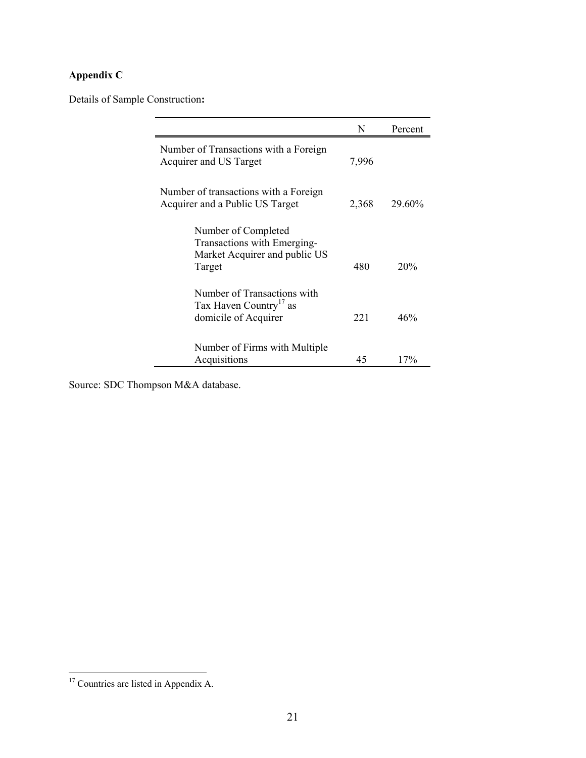# **Appendix C**

Details of Sample Construction**:** 

|                                                                                               | N     | Percent |
|-----------------------------------------------------------------------------------------------|-------|---------|
| Number of Transactions with a Foreign<br>Acquirer and US Target                               | 7,996 |         |
| Number of transactions with a Foreign<br>Acquirer and a Public US Target                      | 2,368 | 29.60%  |
| Number of Completed<br>Transactions with Emerging-<br>Market Acquirer and public US<br>Target | 480   | 20%     |
| Number of Transactions with<br>Tax Haven Country <sup>17</sup> as<br>domicile of Acquirer     | 221   | 46%     |
| Number of Firms with Multiple<br>Acquisitions                                                 | 45    | 17%     |

Source: SDC Thompson M&A database.

 $\overline{a}$ 

<sup>&</sup>lt;sup>17</sup> Countries are listed in Appendix A.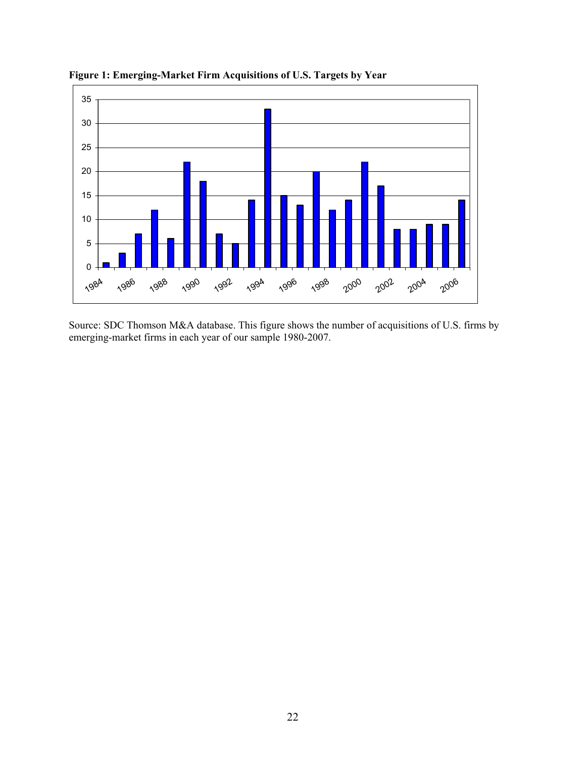

**Figure 1: Emerging-Market Firm Acquisitions of U.S. Targets by Year** 

Source: SDC Thomson M&A database. This figure shows the number of acquisitions of U.S. firms by emerging-market firms in each year of our sample 1980-2007.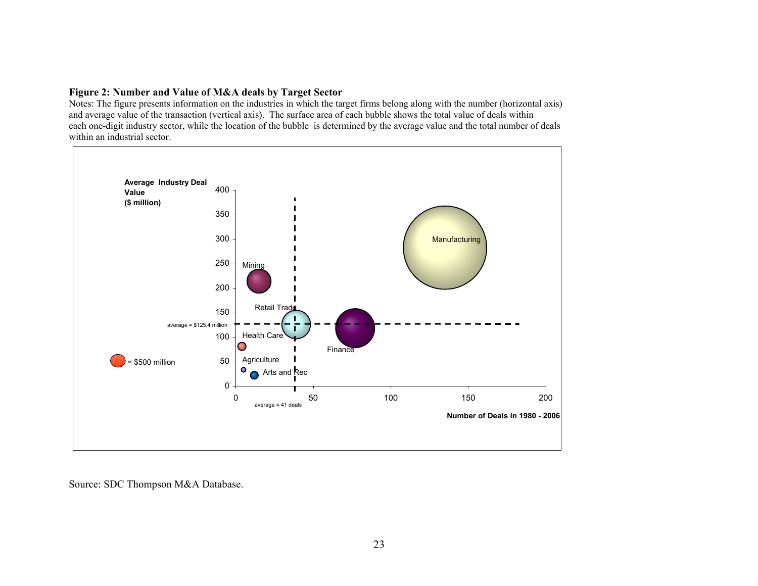#### **Figure 2: Number and Value of M&A deals by Target Sector**

Notes: The figure presents information on the industries in which the target firms belong along with the number (horizontal axis) and average value of the transaction (vertical axis). The surface area of each bubble shows the total value of deals within each one-digit industry sector, while the location of the bubble is determined by the average value and the total number of deals within an industrial sector.



Source: SDC Thompson M&A Database.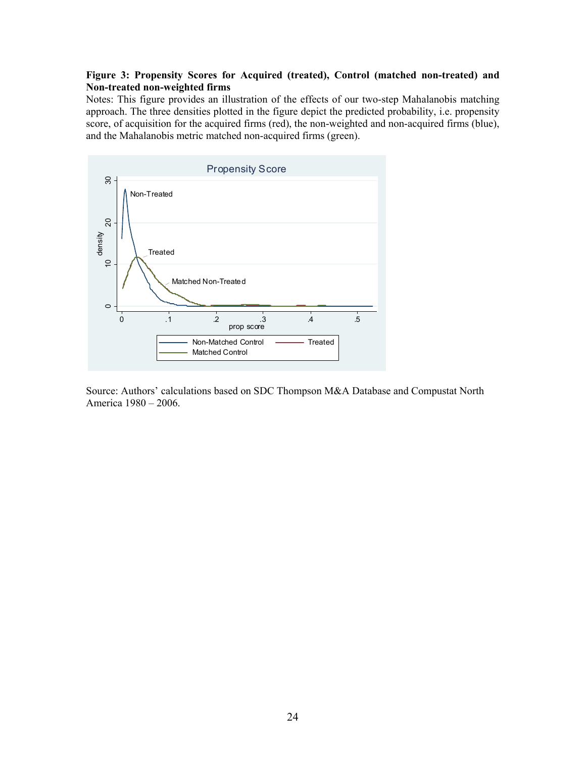# **Figure 3: Propensity Scores for Acquired (treated), Control (matched non-treated) and Non-treated non-weighted firms**

Notes: This figure provides an illustration of the effects of our two-step Mahalanobis matching approach. The three densities plotted in the figure depict the predicted probability, i.e. propensity score, of acquisition for the acquired firms (red), the non-weighted and non-acquired firms (blue), and the Mahalanobis metric matched non-acquired firms (green).



Source: Authors' calculations based on SDC Thompson M&A Database and Compustat North America 1980 – 2006.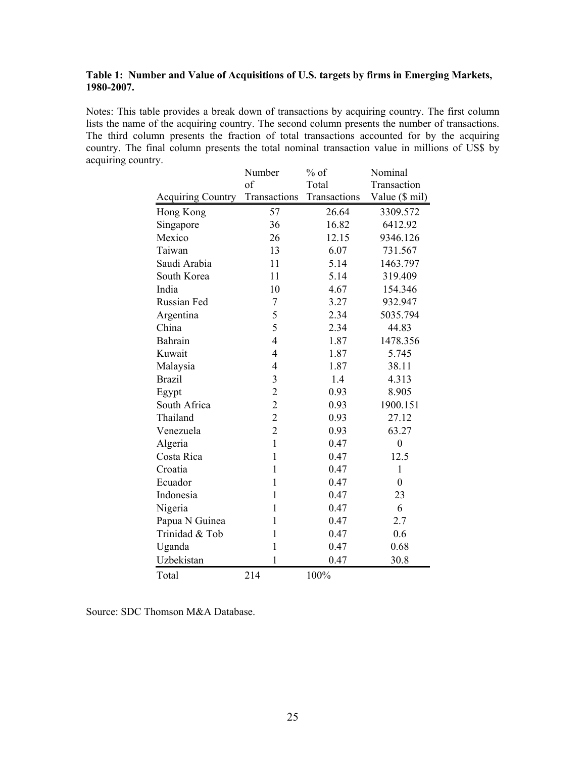# **Table 1: Number and Value of Acquisitions of U.S. targets by firms in Emerging Markets, 1980-2007.**

Notes: This table provides a break down of transactions by acquiring country. The first column lists the name of the acquiring country. The second column presents the number of transactions. The third column presents the fraction of total transactions accounted for by the acquiring country. The final column presents the total nominal transaction value in millions of US\$ by acquiring country.

|                          | Number         | $%$ of       | Nominal          |
|--------------------------|----------------|--------------|------------------|
|                          | of             | Total        | Transaction      |
| <b>Acquiring Country</b> | Transactions   | Transactions | Value (\$ mil)   |
| Hong Kong                | 57             | 26.64        | 3309.572         |
| Singapore                | 36             | 16.82        | 6412.92          |
| Mexico                   | 26             | 12.15        | 9346.126         |
| Taiwan                   | 13             | 6.07         | 731.567          |
| Saudi Arabia             | 11             | 5.14         | 1463.797         |
| South Korea              | 11             | 5.14         | 319.409          |
| India                    | 10             | 4.67         | 154.346          |
| Russian Fed              | 7              | 3.27         | 932.947          |
| Argentina                | 5              | 2.34         | 5035.794         |
| China                    | 5              | 2.34         | 44.83            |
| Bahrain                  | $\overline{4}$ | 1.87         | 1478.356         |
| Kuwait                   | $\overline{4}$ | 1.87         | 5.745            |
| Malaysia                 | 4              | 1.87         | 38.11            |
| <b>Brazil</b>            | 3              | 1.4          | 4.313            |
| Egypt                    | $\overline{c}$ | 0.93         | 8.905            |
| South Africa             | $\overline{2}$ | 0.93         | 1900.151         |
| Thailand                 | $\overline{2}$ | 0.93         | 27.12            |
| Venezuela                | $\overline{2}$ | 0.93         | 63.27            |
| Algeria                  | $\mathbf{1}$   | 0.47         | $\overline{0}$   |
| Costa Rica               | $\mathbf{1}$   | 0.47         | 12.5             |
| Croatia                  | $\mathbf{1}$   | 0.47         | $\mathbf{1}$     |
| Ecuador                  | $\mathbf{1}$   | 0.47         | $\boldsymbol{0}$ |
| Indonesia                | $\mathbf{1}$   | 0.47         | 23               |
| Nigeria                  | $\mathbf{1}$   | 0.47         | 6                |
| Papua N Guinea           | $\mathbf{1}$   | 0.47         | 2.7              |
| Trinidad & Tob           | $\mathbf{1}$   | 0.47         | 0.6              |
| Uganda                   | $\mathbf{1}$   | 0.47         | 0.68             |
| Uzbekistan               | $\mathbf{1}$   | 0.47         | 30.8             |
| Total                    | 214            | 100%         |                  |

Source: SDC Thomson M&A Database.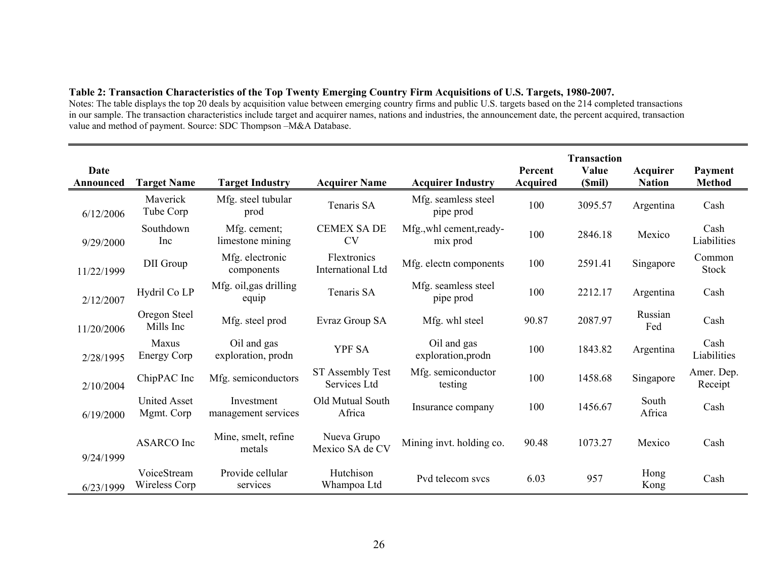# **Table 2: Transaction Characteristics of the Top Twenty Emerging Country Firm Acquisitions of U.S. Targets, 1980-2007.**

Notes: The table displays the top 20 deals by acquisition value between emerging country firms and public U.S. targets based on the 214 completed transactions in our sample. The transaction characteristics include target and acquirer names, nations and industries, the announcement date, the percent acquired, transaction value and method of payment. Source: SDC Thompson –M&A Database.

| Date<br>Announced | <b>Target Name</b>                | <b>Target Industry</b>            | <b>Acquirer Name</b>                    | <b>Acquirer Industry</b>             | Percent<br><b>Acquired</b> | <b>Transaction</b><br>Value<br>(Smil) | Acquirer<br><b>Nation</b> | Payment<br><b>Method</b> |
|-------------------|-----------------------------------|-----------------------------------|-----------------------------------------|--------------------------------------|----------------------------|---------------------------------------|---------------------------|--------------------------|
| 6/12/2006         | Maverick<br>Tube Corp             | Mfg. steel tubular<br>prod        | Tenaris SA                              | Mfg. seamless steel<br>pipe prod     | 100                        | 3095.57                               | Argentina                 | Cash                     |
| 9/29/2000         | Southdown<br>Inc                  | Mfg. cement;<br>limestone mining  | <b>CEMEX SA DE</b><br><b>CV</b>         | Mfg., whl cement, ready-<br>mix prod | 100                        | 2846.18                               | Mexico                    | Cash<br>Liabilities      |
| 11/22/1999        | DII Group                         | Mfg. electronic<br>components     | Flextronics<br><b>International Ltd</b> | Mfg. electn components               | 100                        | 2591.41                               | Singapore                 | Common<br><b>Stock</b>   |
| 2/12/2007         | Hydril Co LP                      | Mfg. oil, gas drilling<br>equip   | Tenaris SA                              | Mfg. seamless steel<br>pipe prod     | 100                        | 2212.17                               | Argentina                 | Cash                     |
| 11/20/2006        | Oregon Steel<br>Mills Inc         | Mfg. steel prod                   | Evraz Group SA                          | Mfg. whl steel                       | 90.87                      | 2087.97                               | Russian<br>Fed            | Cash                     |
| 2/28/1995         | Maxus<br><b>Energy Corp</b>       | Oil and gas<br>exploration, prodn | <b>YPF SA</b>                           | Oil and gas<br>exploration, prodn    | 100                        | 1843.82                               | Argentina                 | Cash<br>Liabilities      |
| 2/10/2004         | ChipPAC Inc                       | Mfg. semiconductors               | ST Assembly Test<br>Services Ltd        | Mfg. semiconductor<br>testing        | 100                        | 1458.68                               | Singapore                 | Amer. Dep.<br>Receipt    |
| 6/19/2000         | <b>United Asset</b><br>Mgmt. Corp | Investment<br>management services | Old Mutual South<br>Africa              | Insurance company                    | 100                        | 1456.67                               | South<br>Africa           | Cash                     |
| 9/24/1999         | <b>ASARCO</b> Inc                 | Mine, smelt, refine<br>metals     | Nueva Grupo<br>Mexico SA de CV          | Mining invt. holding co.             | 90.48                      | 1073.27                               | Mexico                    | Cash                     |
| 6/23/1999         | VoiceStream<br>Wireless Corp      | Provide cellular<br>services      | Hutchison<br>Whampoa Ltd                | Pvd telecom svcs                     | 6.03                       | 957                                   | Hong<br>Kong              | Cash                     |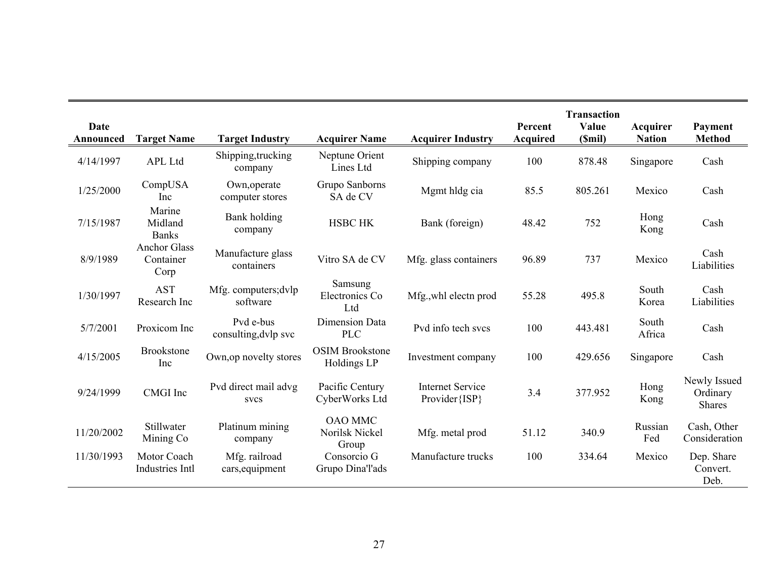| <b>Date</b> |                                          |                                     |                                           |                                           | Percent         | <b>Transaction</b><br>Value | Acquirer        | Payment                                   |
|-------------|------------------------------------------|-------------------------------------|-------------------------------------------|-------------------------------------------|-----------------|-----------------------------|-----------------|-------------------------------------------|
| Announced   | <b>Target Name</b>                       | <b>Target Industry</b>              | <b>Acquirer Name</b>                      | <b>Acquirer Industry</b>                  | <b>Acquired</b> | (Smil)                      | <b>Nation</b>   | <b>Method</b>                             |
| 4/14/1997   | <b>APL Ltd</b>                           | Shipping, trucking<br>company       | Neptune Orient<br>Lines Ltd               | Shipping company                          | 100             | 878.48                      | Singapore       | Cash                                      |
| 1/25/2000   | CompUSA<br>Inc                           | Own, operate<br>computer stores     | Grupo Sanborns<br>SA de CV                | Mgmt hldg cia                             | 85.5            | 805.261                     | Mexico          | Cash                                      |
| 7/15/1987   | Marine<br>Midland<br><b>Banks</b>        | Bank holding<br>company             | <b>HSBC HK</b>                            | Bank (foreign)                            | 48.42           | 752                         | Hong<br>Kong    | Cash                                      |
| 8/9/1989    | <b>Anchor Glass</b><br>Container<br>Corp | Manufacture glass<br>containers     | Vitro SA de CV                            | Mfg. glass containers                     | 96.89           | 737                         | Mexico          | Cash<br>Liabilities                       |
| 1/30/1997   | <b>AST</b><br>Research Inc               | Mfg. computers; dvlp<br>software    | Samsung<br>Electronics Co<br>Ltd          | Mfg., whl electn prod                     | 55.28           | 495.8                       | South<br>Korea  | Cash<br>Liabilities                       |
| 5/7/2001    | Proxicom Inc                             | Pvd e-bus<br>consulting, dvlp svc   | <b>Dimension Data</b><br><b>PLC</b>       | Pvd info tech svcs                        | 100             | 443.481                     | South<br>Africa | Cash                                      |
| 4/15/2005   | <b>Brookstone</b><br>Inc                 | Own, op novelty stores              | <b>OSIM Brookstone</b><br>Holdings LP     | Investment company                        | 100             | 429.656                     | Singapore       | Cash                                      |
| 9/24/1999   | <b>CMGI</b> Inc                          | Pvd direct mail advg<br><b>SVCS</b> | Pacific Century<br>CyberWorks Ltd         | <b>Internet Service</b><br>Provider {ISP} | 3.4             | 377.952                     | Hong<br>Kong    | Newly Issued<br>Ordinary<br><b>Shares</b> |
| 11/20/2002  | Stillwater<br>Mining Co                  | Platinum mining<br>company          | <b>OAO MMC</b><br>Norilsk Nickel<br>Group | Mfg. metal prod                           | 51.12           | 340.9                       | Russian<br>Fed  | Cash, Other<br>Consideration              |
| 11/30/1993  | Motor Coach<br>Industries Intl           | Mfg. railroad<br>cars, equipment    | Consorcio G<br>Grupo Dina'l'ads           | Manufacture trucks                        | 100             | 334.64                      | Mexico          | Dep. Share<br>Convert.<br>Deb.            |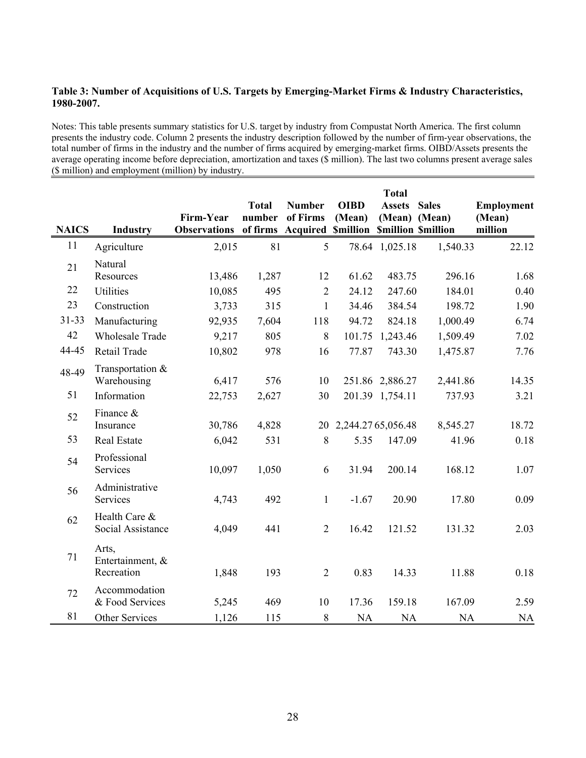# **Table 3: Number of Acquisitions of U.S. Targets by Emerging-Market Firms & Industry Characteristics, 1980-2007.**

Notes: This table presents summary statistics for U.S. target by industry from Compustat North America. The first column presents the industry code. Column 2 presents the industry description followed by the number of firm-year observations, the total number of firms in the industry and the number of firms acquired by emerging-market firms. OIBD/Assets presents the average operating income before depreciation, amortization and taxes (\$ million). The last two columns present average sales (\$ million) and employment (million) by industry.

|              |                                         |                                  |                    |                                                        |                       | <b>Total</b>    |              |                   |
|--------------|-----------------------------------------|----------------------------------|--------------------|--------------------------------------------------------|-----------------------|-----------------|--------------|-------------------|
|              |                                         |                                  | <b>Total</b>       | <b>Number</b>                                          | <b>OIBD</b>           | <b>Assets</b>   | <b>Sales</b> | <b>Employment</b> |
| <b>NAICS</b> | <b>Industry</b>                         | Firm-Year<br><b>Observations</b> | number<br>of firms | of Firms<br><b>Acquired Smillion Smillion Smillion</b> | (Mean)                | (Mean) (Mean)   |              | (Mean)<br>million |
| 11           | Agriculture                             | 2,015                            | 81                 | 5                                                      |                       | 78.64 1,025.18  | 1,540.33     | 22.12             |
| 21           | Natural<br>Resources                    | 13,486                           | 1,287              | 12                                                     | 61.62                 | 483.75          | 296.16       | 1.68              |
| 22           | <b>Utilities</b>                        | 10,085                           | 495                | $\overline{2}$                                         | 24.12                 | 247.60          | 184.01       | 0.40              |
| 23           | Construction                            | 3,733                            | 315                | $\mathbf{1}$                                           | 34.46                 | 384.54          | 198.72       | 1.90              |
| $31 - 33$    | Manufacturing                           | 92,935                           | 7,604              | 118                                                    | 94.72                 | 824.18          | 1,000.49     | 6.74              |
| 42           | <b>Wholesale Trade</b>                  | 9,217                            | 805                | $\,8\,$                                                | 101.75                | 1,243.46        | 1,509.49     | 7.02              |
| 44-45        | Retail Trade                            | 10,802                           | 978                | 16                                                     | 77.87                 | 743.30          | 1,475.87     | 7.76              |
| 48-49        | Transportation &<br>Warehousing         | 6,417                            | 576                | 10                                                     |                       | 251.86 2,886.27 | 2,441.86     | 14.35             |
| 51           | Information                             | 22,753                           | 2,627              | 30                                                     |                       | 201.39 1,754.11 | 737.93       | 3.21              |
| 52           | Finance &<br>Insurance                  | 30,786                           | 4,828              |                                                        | 20 2,244.27 65,056.48 |                 | 8,545.27     | 18.72             |
| 53           | Real Estate                             | 6,042                            | 531                | $\,8\,$                                                | 5.35                  | 147.09          | 41.96        | 0.18              |
| 54           | Professional<br>Services                | 10,097                           | 1,050              | 6                                                      | 31.94                 | 200.14          | 168.12       | 1.07              |
| 56           | Administrative<br>Services              | 4,743                            | 492                | $\mathbf{1}$                                           | $-1.67$               | 20.90           | 17.80        | 0.09              |
| 62           | Health Care &<br>Social Assistance      | 4,049                            | 441                | $\overline{2}$                                         | 16.42                 | 121.52          | 131.32       | 2.03              |
| 71           | Arts,<br>Entertainment, &<br>Recreation | 1,848                            | 193                | $\overline{2}$                                         | 0.83                  | 14.33           | 11.88        | 0.18              |
| 72           | Accommodation<br>& Food Services        | 5,245                            | 469                | 10                                                     | 17.36                 | 159.18          | 167.09       | 2.59              |
| 81           | Other Services                          | 1,126                            | 115                | 8                                                      | <b>NA</b>             | <b>NA</b>       | <b>NA</b>    | <b>NA</b>         |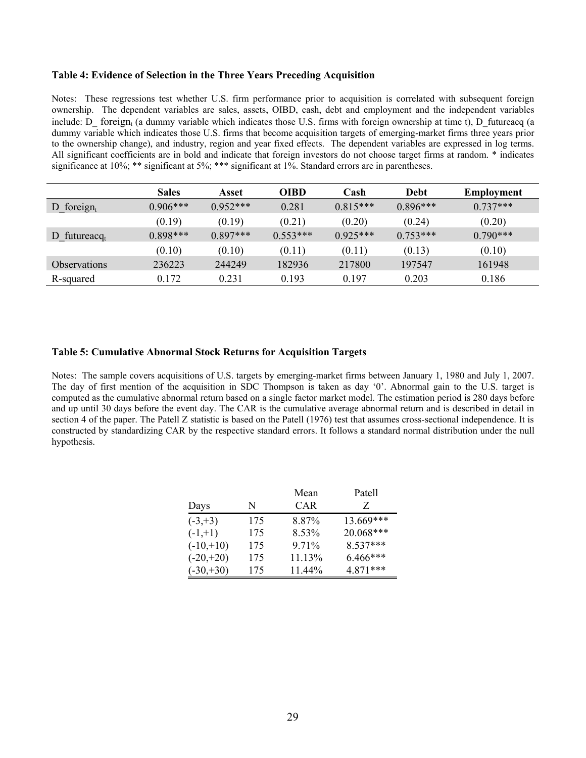#### **Table 4: Evidence of Selection in the Three Years Preceding Acquisition**

Notes: These regressions test whether U.S. firm performance prior to acquisition is correlated with subsequent foreign ownership. The dependent variables are sales, assets, OIBD, cash, debt and employment and the independent variables include: D\_ foreign<sub>t</sub> (a dummy variable which indicates those U.S. firms with foreign ownership at time t), D\_futureacq (a dummy variable which indicates those U.S. firms that become acquisition targets of emerging-market firms three years prior to the ownership change), and industry, region and year fixed effects. The dependent variables are expressed in log terms. All significant coefficients are in bold and indicate that foreign investors do not choose target firms at random. \* indicates significance at 10%; \*\* significant at 5%; \*\*\* significant at 1%. Standard errors are in parentheses.

|                            | <b>Sales</b> | Asset      | <b>OIBD</b> | Cash       | Debt       | Employment |
|----------------------------|--------------|------------|-------------|------------|------------|------------|
| D foreign $_{t}$           | $0.906***$   | $0.952***$ | 0.281       | $0.815***$ | $0.896***$ | $0.737***$ |
|                            | (0.19)       | (0.19)     | (0.21)      | (0.20)     | (0.24)     | (0.20)     |
| D futureacq <sub>t</sub>   | $0.898***$   | $0.897***$ | $0.553***$  | $0.925***$ | $0.753***$ | $0.790***$ |
|                            | (0.10)       | (0.10)     | (0.11)      | (0.11)     | (0.13)     | (0.10)     |
| <i><b>Observations</b></i> | 236223       | 244249     | 182936      | 217800     | 197547     | 161948     |
| R-squared                  | 0.172        | 0.231      | 0.193       | 0.197      | 0.203      | 0.186      |

#### **Table 5: Cumulative Abnormal Stock Returns for Acquisition Targets**

Notes: The sample covers acquisitions of U.S. targets by emerging-market firms between January 1, 1980 and July 1, 2007. The day of first mention of the acquisition in SDC Thompson is taken as day '0'. Abnormal gain to the U.S. target is computed as the cumulative abnormal return based on a single factor market model. The estimation period is 280 days before and up until 30 days before the event day. The CAR is the cumulative average abnormal return and is described in detail in section 4 of the paper. The Patell Z statistic is based on the Patell (1976) test that assumes cross-sectional independence. It is constructed by standardizing CAR by the respective standard errors. It follows a standard normal distribution under the null hypothesis.

|             |     | Mean       | Patell    |
|-------------|-----|------------|-----------|
| Days        | N   | <b>CAR</b> | Z         |
| $(-3, +3)$  | 175 | 8.87%      | 13.669*** |
| $(-1,+1)$   | 175 | 8.53%      | 20.068*** |
| $(-10,+10)$ | 175 | 9.71%      | 8.537***  |
| $(-20,+20)$ | 175 | 11.13%     | 6.466***  |
| $(-30,+30)$ | 175 | 11.44%     | 4.871***  |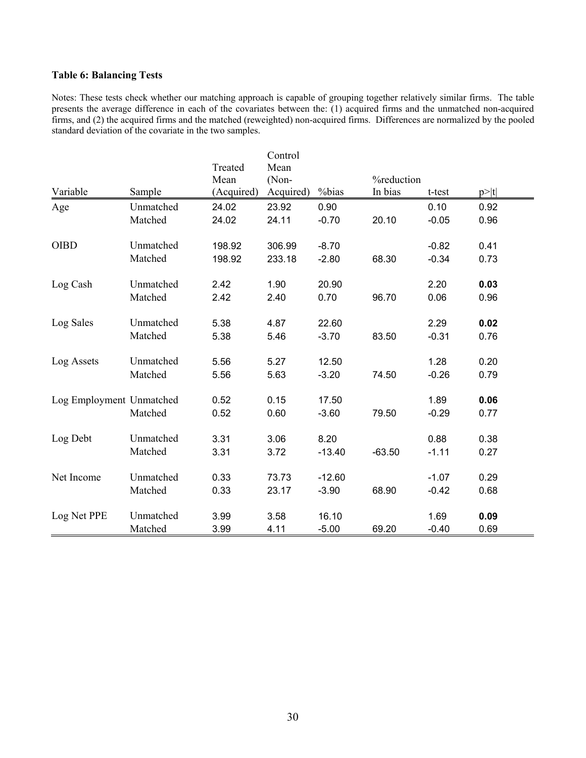## **Table 6: Balancing Tests**

Notes: These tests check whether our matching approach is capable of grouping together relatively similar firms. The table presents the average difference in each of the covariates between the: (1) acquired firms and the unmatched non-acquired firms, and (2) the acquired firms and the matched (reweighted) non-acquired firms. Differences are normalized by the pooled standard deviation of the covariate in the two samples.

|                          |           |            | Control   |          |            |         |      |
|--------------------------|-----------|------------|-----------|----------|------------|---------|------|
|                          |           | Treated    | Mean      |          |            |         |      |
|                          |           | Mean       | (Non-     |          | %reduction |         |      |
| Variable                 | Sample    | (Acquired) | Acquired) | %bias    | In bias    | t-test  | p> t |
| Age                      | Unmatched | 24.02      | 23.92     | 0.90     |            | 0.10    | 0.92 |
|                          | Matched   | 24.02      | 24.11     | $-0.70$  | 20.10      | $-0.05$ | 0.96 |
| <b>OIBD</b>              | Unmatched | 198.92     | 306.99    | $-8.70$  |            | $-0.82$ | 0.41 |
|                          | Matched   | 198.92     | 233.18    | $-2.80$  | 68.30      | $-0.34$ | 0.73 |
| Log Cash                 | Unmatched | 2.42       | 1.90      | 20.90    |            | 2.20    | 0.03 |
|                          | Matched   | 2.42       | 2.40      | 0.70     | 96.70      | 0.06    | 0.96 |
| Log Sales                | Unmatched | 5.38       | 4.87      | 22.60    |            | 2.29    | 0.02 |
|                          | Matched   | 5.38       | 5.46      | $-3.70$  | 83.50      | $-0.31$ | 0.76 |
| Log Assets               | Unmatched | 5.56       | 5.27      | 12.50    |            | 1.28    | 0.20 |
|                          | Matched   | 5.56       | 5.63      | $-3.20$  | 74.50      | $-0.26$ | 0.79 |
| Log Employment Unmatched |           | 0.52       | 0.15      | 17.50    |            | 1.89    | 0.06 |
|                          | Matched   | 0.52       | 0.60      | $-3.60$  | 79.50      | $-0.29$ | 0.77 |
| Log Debt                 | Unmatched | 3.31       | 3.06      | 8.20     |            | 0.88    | 0.38 |
|                          | Matched   | 3.31       | 3.72      | $-13.40$ | $-63.50$   | $-1.11$ | 0.27 |
| Net Income               | Unmatched | 0.33       | 73.73     | $-12.60$ |            | $-1.07$ | 0.29 |
|                          | Matched   | 0.33       | 23.17     | $-3.90$  | 68.90      | $-0.42$ | 0.68 |
| Log Net PPE              | Unmatched | 3.99       | 3.58      | 16.10    |            | 1.69    | 0.09 |
|                          | Matched   | 3.99       | 4.11      | $-5.00$  | 69.20      | $-0.40$ | 0.69 |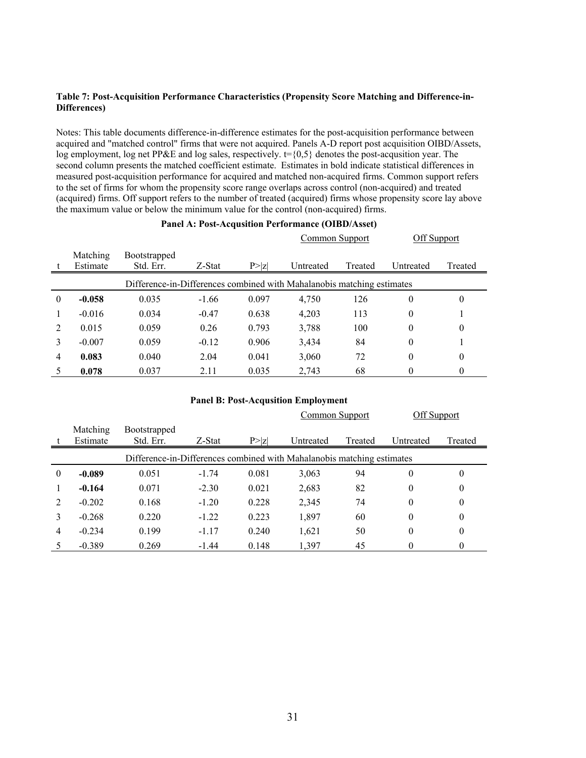#### **Table 7: Post-Acquisition Performance Characteristics (Propensity Score Matching and Difference-in-Differences)**

Notes: This table documents difference-in-difference estimates for the post-acquisition performance between acquired and "matched control" firms that were not acquired. Panels A-D report post acquisition OIBD/Assets, log employment, log net PP&E and log sales, respectively.  $t = \{0,5\}$  denotes the post-acqusition year. The second column presents the matched coefficient estimate. Estimates in bold indicate statistical differences in measured post-acquisition performance for acquired and matched non-acquired firms. Common support refers to the set of firms for whom the propensity score range overlaps across control (non-acquired) and treated (acquired) firms. Off support refers to the number of treated (acquired) firms whose propensity score lay above the maximum value or below the minimum value for the control (non-acquired) firms.

#### **Panel A: Post-Acqusition Performance (OIBD/Asset)**

|                |                      |                                                                        |         |        | Common Support |         | Off Support  |          |  |
|----------------|----------------------|------------------------------------------------------------------------|---------|--------|----------------|---------|--------------|----------|--|
|                | Matching<br>Estimate | <b>Bootstrapped</b><br>Std. Err.                                       | Z-Stat  | P >  z | Untreated      | Treated | Untreated    | Treated  |  |
|                |                      | Difference-in-Differences combined with Mahalanobis matching estimates |         |        |                |         |              |          |  |
| $\theta$       | $-0.058$             | 0.035                                                                  | $-1.66$ | 0.097  | 4,750          | 126     | $\theta$     | 0        |  |
|                | $-0.016$             | 0.034                                                                  | $-0.47$ | 0.638  | 4,203          | 113     | $\theta$     |          |  |
| $\overline{2}$ | 0.015                | 0.059                                                                  | 0.26    | 0.793  | 3,788          | 100     | $\theta$     | $\theta$ |  |
| 3              | $-0.007$             | 0.059                                                                  | $-0.12$ | 0.906  | 3,434          | 84      | $\mathbf{0}$ |          |  |
| 4              | 0.083                | 0.040                                                                  | 2.04    | 0.041  | 3,060          | 72      | $\theta$     | 0        |  |
|                | 0.078                | 0.037                                                                  | 2.11    | 0.035  | 2,743          | 68      | $\theta$     | 0        |  |

#### **Panel B: Post-Acqusition Employment**

|                             |                                                                        |                                  |         |        | Common Support |         | Off Support |          |  |
|-----------------------------|------------------------------------------------------------------------|----------------------------------|---------|--------|----------------|---------|-------------|----------|--|
|                             | Matching<br>Estimate                                                   | <b>Bootstrapped</b><br>Std. Err. | Z-Stat  | P >  Z | Untreated      | Treated | Untreated   | Treated  |  |
|                             | Difference-in-Differences combined with Mahalanobis matching estimates |                                  |         |        |                |         |             |          |  |
| $\theta$                    | $-0.089$                                                               | 0.051                            | $-1.74$ | 0.081  | 3,063          | 94      | $\theta$    | $\theta$ |  |
|                             | $-0.164$                                                               | 0.071                            | $-2.30$ | 0.021  | 2,683          | 82      | $\theta$    | $\theta$ |  |
| $\mathcal{D}_{\mathcal{L}}$ | $-0.202$                                                               | 0.168                            | $-1.20$ | 0.228  | 2,345          | 74      | $\theta$    | 0        |  |
|                             | $-0.268$                                                               | 0.220                            | $-1.22$ | 0.223  | 1,897          | 60      | $\theta$    | 0        |  |
| 4                           | $-0.234$                                                               | 0.199                            | $-1.17$ | 0.240  | 1,621          | 50      | $\theta$    | 0        |  |
|                             | $-0.389$                                                               | 0.269                            | $-1.44$ | 0.148  | 1,397          | 45      | 0           | 0        |  |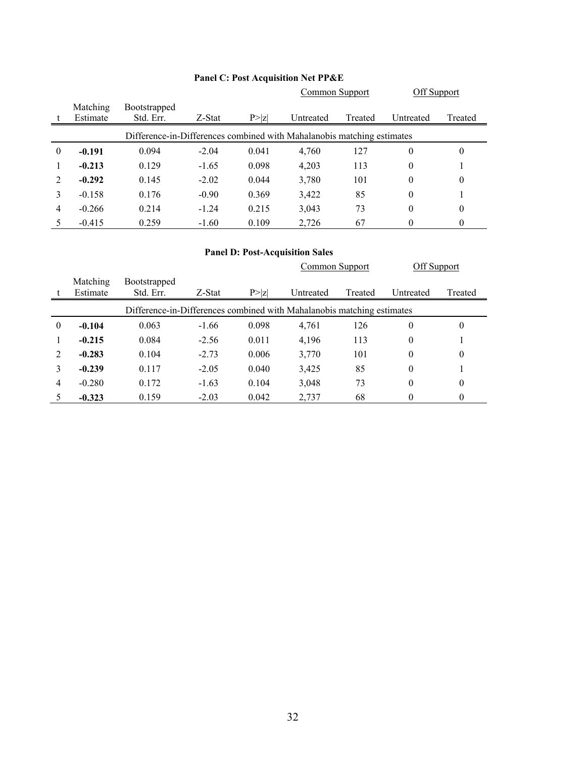|          |                                                                        |                                  |         |        | <b>Common Support</b> |         | Off Support |         |  |  |
|----------|------------------------------------------------------------------------|----------------------------------|---------|--------|-----------------------|---------|-------------|---------|--|--|
|          | Matching<br>Estimate                                                   | <b>Bootstrapped</b><br>Std. Err. | Z-Stat  | P >  z | Untreated             | Treated | Untreated   | Treated |  |  |
|          | Difference-in-Differences combined with Mahalanobis matching estimates |                                  |         |        |                       |         |             |         |  |  |
| $\theta$ | $-0.191$                                                               | 0.094                            | $-2.04$ | 0.041  | 4,760                 | 127     | $\theta$    | 0       |  |  |
|          | $-0.213$                                                               | 0.129                            | $-1.65$ | 0.098  | 4,203                 | 113     | $\theta$    |         |  |  |
| 2        | $-0.292$                                                               | 0.145                            | $-2.02$ | 0.044  | 3,780                 | 101     | $\theta$    | 0       |  |  |
|          | $-0.158$                                                               | 0.176                            | $-0.90$ | 0.369  | 3,422                 | 85      | $\theta$    |         |  |  |
| 4        | $-0.266$                                                               | 0.214                            | $-1.24$ | 0.215  | 3,043                 | 73      | $\theta$    | 0       |  |  |
|          | $-0.415$                                                               | 0.259                            | $-1.60$ | 0.109  | 2,726                 | 67      | 0           | 0       |  |  |

# **Panel C: Post Acquisition Net PP&E**

# **Panel D: Post-Acquisition Sales**

|          |                                                                        |                     |         |        | <b>Common Support</b> |         | <b>Off Support</b> |              |  |
|----------|------------------------------------------------------------------------|---------------------|---------|--------|-----------------------|---------|--------------------|--------------|--|
|          | Matching                                                               | <b>Bootstrapped</b> |         |        |                       |         |                    |              |  |
|          | Estimate                                                               | Std. Err.           | Z-Stat  | P >  z | Untreated             | Treated | Untreated          | Treated      |  |
|          | Difference-in-Differences combined with Mahalanobis matching estimates |                     |         |        |                       |         |                    |              |  |
| $\theta$ | $-0.104$                                                               | 0.063               | $-1.66$ | 0.098  | 4,761                 | 126     | $\theta$           | $\theta$     |  |
|          | $-0.215$                                                               | 0.084               | $-2.56$ | 0.011  | 4,196                 | 113     | $\theta$           |              |  |
| 2        | $-0.283$                                                               | 0.104               | $-2.73$ | 0.006  | 3,770                 | 101     | $\overline{0}$     | $\mathbf{0}$ |  |
| 3        | $-0.239$                                                               | 0.117               | $-2.05$ | 0.040  | 3,425                 | 85      | $\theta$           |              |  |
| 4        | $-0.280$                                                               | 0.172               | $-1.63$ | 0.104  | 3,048                 | 73      | $\theta$           | $\theta$     |  |
|          | $-0.323$                                                               | 0.159               | $-2.03$ | 0.042  | 2,737                 | 68      | 0                  | $\theta$     |  |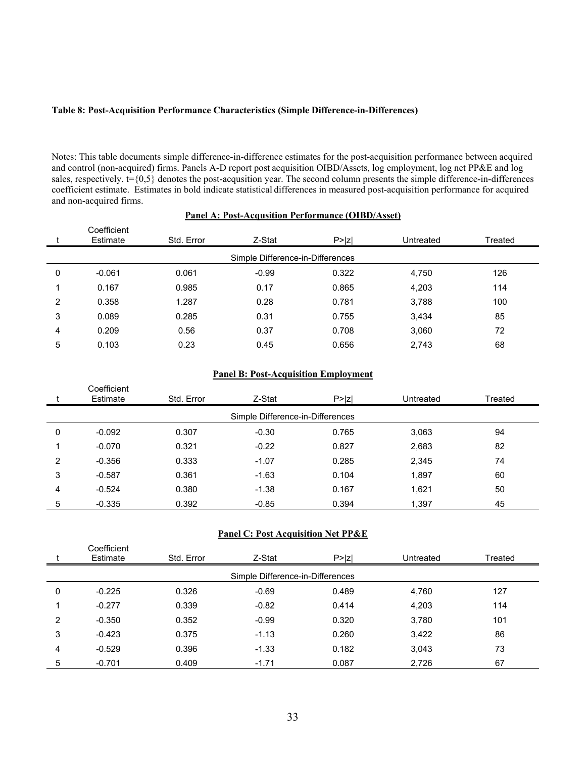## **Table 8: Post-Acquisition Performance Characteristics (Simple Difference-in-Differences)**

Notes: This table documents simple difference-in-difference estimates for the post-acquisition performance between acquired and control (non-acquired) firms. Panels A-D report post acquisition OIBD/Assets, log employment, log net PP&E and log sales, respectively.  $t = \{0,5\}$  denotes the post-acqusition year. The second column presents the simple difference-in-differences coefficient estimate. Estimates in bold indicate statistical differences in measured post-acquisition performance for acquired and non-acquired firms.

|   | <u>Panel A: Post-Acqusition Performance (OIBD/Asset)</u> |            |         |        |           |         |  |  |  |  |
|---|----------------------------------------------------------|------------|---------|--------|-----------|---------|--|--|--|--|
|   | Coefficient<br>Estimate                                  | Std. Error | Z-Stat  | P >  z | Untreated | Treated |  |  |  |  |
|   | Simple Difference-in-Differences                         |            |         |        |           |         |  |  |  |  |
| 0 | $-0.061$                                                 | 0.061      | $-0.99$ | 0.322  | 4,750     | 126     |  |  |  |  |
|   | 0.167                                                    | 0.985      | 0.17    | 0.865  | 4,203     | 114     |  |  |  |  |
| 2 | 0.358                                                    | 1.287      | 0.28    | 0.781  | 3,788     | 100     |  |  |  |  |
| 3 | 0.089                                                    | 0.285      | 0.31    | 0.755  | 3.434     | 85      |  |  |  |  |
| 4 | 0.209                                                    | 0.56       | 0.37    | 0.708  | 3,060     | 72      |  |  |  |  |
| 5 | 0.103                                                    | 0.23       | 0.45    | 0.656  | 2,743     | 68      |  |  |  |  |

# **Panel B: Post-Acquisition Employment**

|   | Coefficient<br>Estimate          | Std. Error | Z-Stat  | P >  Z | Untreated | Treated |  |  |  |  |
|---|----------------------------------|------------|---------|--------|-----------|---------|--|--|--|--|
|   | Simple Difference-in-Differences |            |         |        |           |         |  |  |  |  |
| 0 | $-0.092$                         | 0.307      | $-0.30$ | 0.765  | 3,063     | 94      |  |  |  |  |
|   | $-0.070$                         | 0.321      | $-0.22$ | 0.827  | 2,683     | 82      |  |  |  |  |
| 2 | $-0.356$                         | 0.333      | $-1.07$ | 0.285  | 2,345     | 74      |  |  |  |  |
| 3 | $-0.587$                         | 0.361      | $-1.63$ | 0.104  | 1,897     | 60      |  |  |  |  |
| 4 | $-0.524$                         | 0.380      | $-1.38$ | 0.167  | 1,621     | 50      |  |  |  |  |
| 5 | $-0.335$                         | 0.392      | $-0.85$ | 0.394  | 1,397     | 45      |  |  |  |  |

#### **Panel C: Post Acquisition Net PP&E**

 $C = f(x)$ 

|   | Coefficient<br>Estimate          | Std. Error | Z-Stat  | P >  Z | Untreated | Treated |  |  |  |  |
|---|----------------------------------|------------|---------|--------|-----------|---------|--|--|--|--|
|   | Simple Difference-in-Differences |            |         |        |           |         |  |  |  |  |
| 0 | $-0.225$                         | 0.326      | $-0.69$ | 0.489  | 4,760     | 127     |  |  |  |  |
|   | $-0.277$                         | 0.339      | $-0.82$ | 0.414  | 4,203     | 114     |  |  |  |  |
| 2 | $-0.350$                         | 0.352      | $-0.99$ | 0.320  | 3,780     | 101     |  |  |  |  |
| 3 | $-0.423$                         | 0.375      | $-1.13$ | 0.260  | 3,422     | 86      |  |  |  |  |
| 4 | $-0.529$                         | 0.396      | $-1.33$ | 0.182  | 3,043     | 73      |  |  |  |  |
| 5 | $-0.701$                         | 0.409      | $-1.71$ | 0.087  | 2,726     | 67      |  |  |  |  |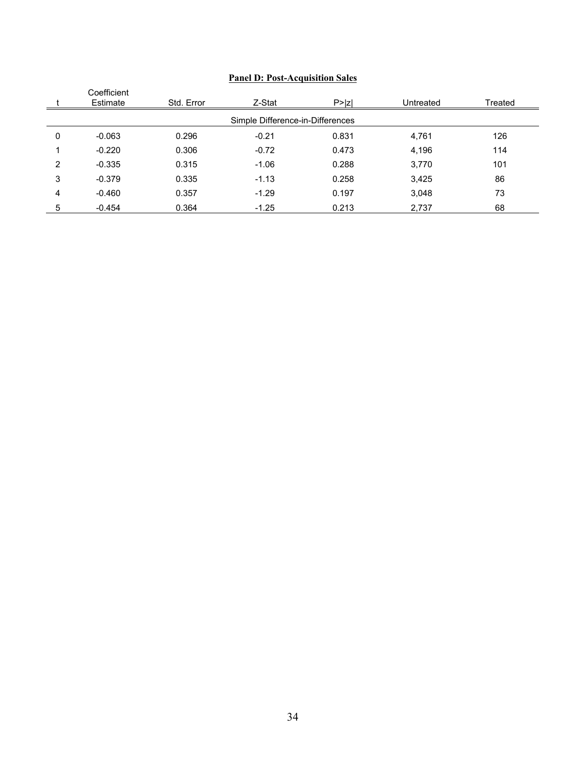|   | Coefficient<br>Estimate          | Std. Error | Z-Stat  | P >  Z | Untreated | Treated |  |  |  |  |
|---|----------------------------------|------------|---------|--------|-----------|---------|--|--|--|--|
|   | Simple Difference-in-Differences |            |         |        |           |         |  |  |  |  |
| 0 | $-0.063$                         | 0.296      | $-0.21$ | 0.831  | 4,761     | 126     |  |  |  |  |
|   | $-0.220$                         | 0.306      | $-0.72$ | 0.473  | 4,196     | 114     |  |  |  |  |
| 2 | $-0.335$                         | 0.315      | $-1.06$ | 0.288  | 3,770     | 101     |  |  |  |  |
| 3 | $-0.379$                         | 0.335      | $-1.13$ | 0.258  | 3,425     | 86      |  |  |  |  |
| 4 | $-0.460$                         | 0.357      | $-1.29$ | 0.197  | 3,048     | 73      |  |  |  |  |
| 5 | $-0.454$                         | 0.364      | $-1.25$ | 0.213  | 2,737     | 68      |  |  |  |  |

# **Panel D: Post-Acquisition Sales**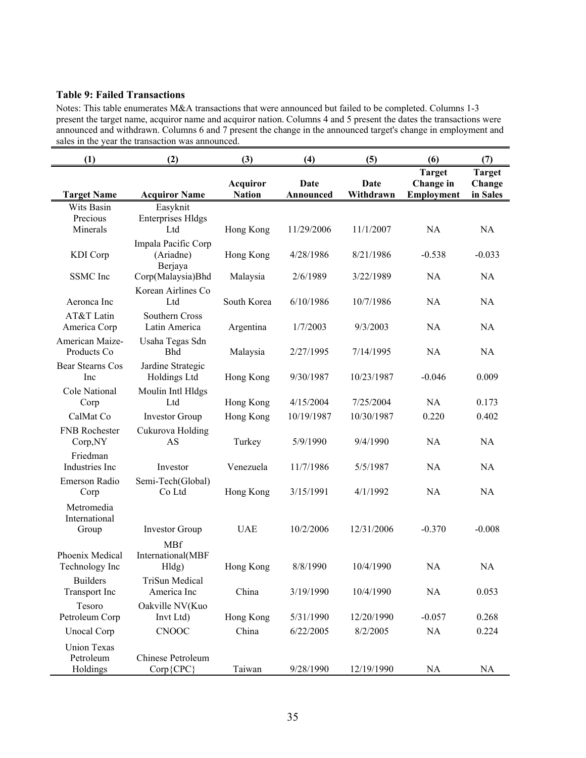# **Table 9: Failed Transactions**

Notes: This table enumerates M&A transactions that were announced but failed to be completed. Columns 1-3 present the target name, acquiror name and acquiror nation. Columns 4 and 5 present the dates the transactions were announced and withdrawn. Columns 6 and 7 present the change in the announced target's change in employment and sales in the year the transaction was announced.

| (1)                                         | (2)                                         | (3)                              | (4)               | (5)               | (6)                                      | (7)                                 |
|---------------------------------------------|---------------------------------------------|----------------------------------|-------------------|-------------------|------------------------------------------|-------------------------------------|
| <b>Target Name</b>                          | <b>Acquiror Name</b>                        | <b>Acquiror</b><br><b>Nation</b> | Date<br>Announced | Date<br>Withdrawn | <b>Target</b><br>Change in<br>Employment | <b>Target</b><br>Change<br>in Sales |
| Wits Basin<br>Precious                      | Easyknit                                    |                                  |                   |                   |                                          |                                     |
| Minerals                                    | <b>Enterprises Hldgs</b><br>Ltd             | Hong Kong                        | 11/29/2006        | 11/1/2007         | NA                                       | NA                                  |
| KDI Corp                                    | Impala Pacific Corp<br>(Ariadne)<br>Berjaya | Hong Kong                        | 4/28/1986         | 8/21/1986         | $-0.538$                                 | $-0.033$                            |
| <b>SSMC</b> Inc                             | Corp(Malaysia)Bhd                           | Malaysia                         | 2/6/1989          | 3/22/1989         | NA                                       | NA                                  |
| Aeronca Inc                                 | Korean Airlines Co<br>Ltd                   | South Korea                      | 6/10/1986         | 10/7/1986         | NA                                       | NA                                  |
| AT&T Latin<br>America Corp                  | Southern Cross<br>Latin America             | Argentina                        | 1/7/2003          | 9/3/2003          | NA                                       | NA                                  |
| American Maize-<br>Products Co              | Usaha Tegas Sdn<br><b>Bhd</b>               | Malaysia                         | 2/27/1995         | 7/14/1995         | <b>NA</b>                                | NA                                  |
| <b>Bear Stearns Cos</b><br>Inc              | Jardine Strategic<br>Holdings Ltd           | Hong Kong                        | 9/30/1987         | 10/23/1987        | $-0.046$                                 | 0.009                               |
| Cole National<br>Corp                       | Moulin Intl Hldgs<br>Ltd                    | Hong Kong                        | 4/15/2004         | 7/25/2004         | <b>NA</b>                                | 0.173                               |
| CalMat Co                                   | <b>Investor Group</b>                       | Hong Kong                        | 10/19/1987        | 10/30/1987        | 0.220                                    | 0.402                               |
| FNB Rochester<br>Corp, NY                   | Cukurova Holding<br>AS                      | Turkey                           | 5/9/1990          | 9/4/1990          | NA                                       | NA                                  |
| Friedman<br>Industries Inc                  | Investor                                    | Venezuela                        | 11/7/1986         | 5/5/1987          | <b>NA</b>                                | <b>NA</b>                           |
| Emerson Radio<br>Corp                       | Semi-Tech(Global)<br>Co Ltd                 | Hong Kong                        | 3/15/1991         | 4/1/1992          | NA                                       | NA                                  |
| Metromedia<br>International                 |                                             |                                  |                   |                   |                                          |                                     |
| Group                                       | <b>Investor Group</b>                       | <b>UAE</b>                       | 10/2/2006         | 12/31/2006        | $-0.370$                                 | $-0.008$                            |
| Phoenix Medical<br>Technology Inc           | <b>MBf</b><br>International(MBF<br>Hldg)    | Hong Kong                        | 8/8/1990          | 10/4/1990         | <b>NA</b>                                | NA                                  |
| <b>Builders</b><br><b>Transport</b> Inc     | TriSun Medical<br>America Inc               | China                            | 3/19/1990         | 10/4/1990         | NA                                       | 0.053                               |
| Tesoro                                      | Oakville NV(Kuo                             |                                  |                   |                   |                                          |                                     |
| Petroleum Corp                              | Invt Ltd)                                   | Hong Kong                        | 5/31/1990         | 12/20/1990        | $-0.057$                                 | 0.268                               |
| <b>Unocal Corp</b>                          | <b>CNOOC</b>                                | China                            | 6/22/2005         | 8/2/2005          | NA                                       | 0.224                               |
| <b>Union Texas</b><br>Petroleum<br>Holdings | Chinese Petroleum<br>Corp{CPC}              | Taiwan                           | 9/28/1990         | 12/19/1990        | NA                                       | NA                                  |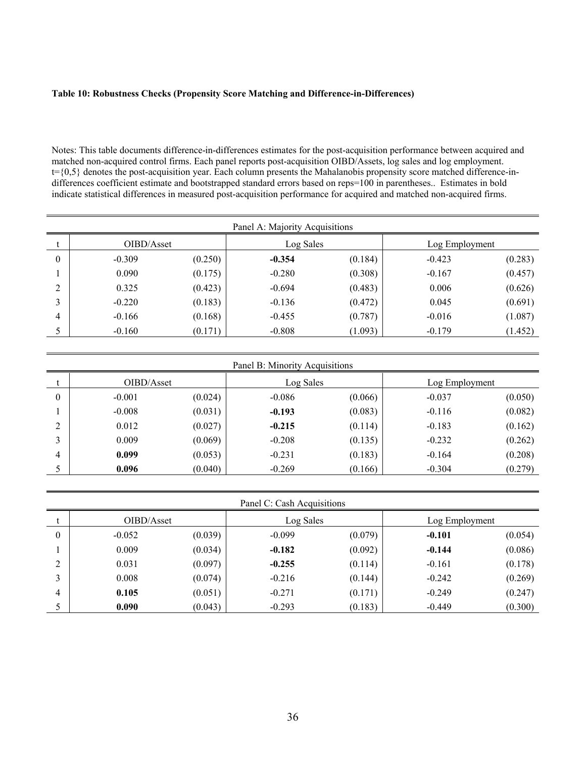#### **Table 10: Robustness Checks (Propensity Score Matching and Difference-in-Differences)**

Notes: This table documents difference-in-differences estimates for the post-acquisition performance between acquired and matched non-acquired control firms. Each panel reports post-acquisition OIBD/Assets, log sales and log employment. t={0,5} denotes the post-acquisition year. Each column presents the Mahalanobis propensity score matched difference-indifferences coefficient estimate and bootstrapped standard errors based on reps=100 in parentheses.. Estimates in bold indicate statistical differences in measured post-acquisition performance for acquired and matched non-acquired firms.

|          |            |         | Panel A: Majority Acquisitions |         |                |         |
|----------|------------|---------|--------------------------------|---------|----------------|---------|
|          | OIBD/Asset |         | Log Sales                      |         | Log Employment |         |
| $\theta$ | $-0.309$   | (0.250) | $-0.354$                       | (0.184) | $-0.423$       | (0.283) |
|          | 0.090      | (0.175) | $-0.280$                       | (0.308) | $-0.167$       | (0.457) |
| 2        | 0.325      | (0.423) | $-0.694$                       | (0.483) | 0.006          | (0.626) |
| 3        | $-0.220$   | (0.183) | $-0.136$                       | (0.472) | 0.045          | (0.691) |
| 4        | $-0.166$   | (0.168) | $-0.455$                       | (0.787) | $-0.016$       | (1.087) |
|          | $-0.160$   | (0.171) | $-0.808$                       | (1.093) | $-0.179$       | (1.452) |

|          |            |         | Panel B: Minority Acquisitions |         |                |         |
|----------|------------|---------|--------------------------------|---------|----------------|---------|
|          | OIBD/Asset |         | Log Sales                      |         | Log Employment |         |
| $\theta$ | $-0.001$   | (0.024) | $-0.086$                       | (0.066) | $-0.037$       | (0.050) |
|          | $-0.008$   | (0.031) | $-0.193$                       | (0.083) | $-0.116$       | (0.082) |
| C        | 0.012      | (0.027) | $-0.215$                       | (0.114) | $-0.183$       | (0.162) |
| 3        | 0.009      | (0.069) | $-0.208$                       | (0.135) | $-0.232$       | (0.262) |
| 4        | 0.099      | (0.053) | $-0.231$                       | (0.183) | $-0.164$       | (0.208) |
|          | 0.096      | (0.040) | $-0.269$                       | (0.166) | $-0.304$       | (0.279) |

|          |            |         | Panel C: Cash Acquisitions |         |                |         |
|----------|------------|---------|----------------------------|---------|----------------|---------|
| t        | OIBD/Asset |         | Log Sales                  |         | Log Employment |         |
| $\theta$ | $-0.052$   | (0.039) | $-0.099$                   | (0.079) | $-0.101$       | (0.054) |
|          | 0.009      | (0.034) | $-0.182$                   | (0.092) | $-0.144$       | (0.086) |
| 2        | 0.031      | (0.097) | $-0.255$                   | (0.114) | $-0.161$       | (0.178) |
| 3        | 0.008      | (0.074) | $-0.216$                   | (0.144) | $-0.242$       | (0.269) |
| 4        | 0.105      | (0.051) | $-0.271$                   | (0.171) | $-0.249$       | (0.247) |
| 5        | 0.090      | (0.043) | $-0.293$                   | (0.183) | $-0.449$       | (0.300) |

 $\equiv$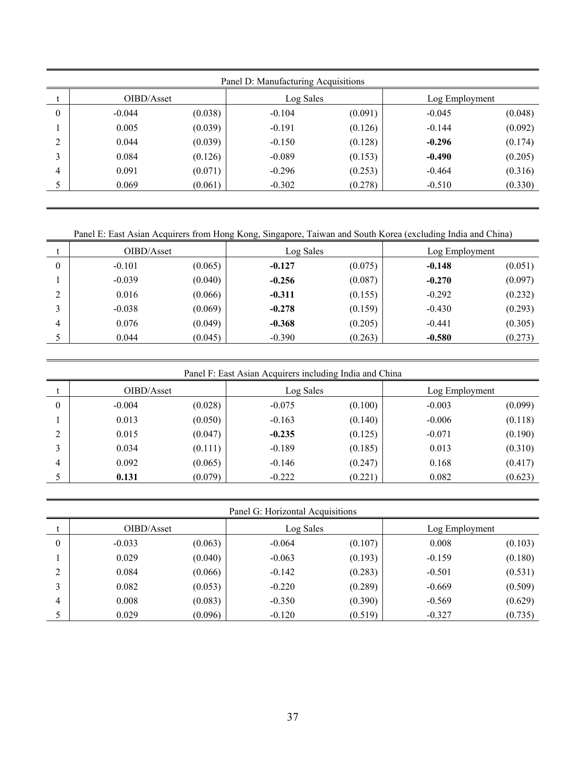|                |            |         | Panel D: Manufacturing Acquisitions |         |                |         |
|----------------|------------|---------|-------------------------------------|---------|----------------|---------|
|                | OIBD/Asset |         | Log Sales                           |         | Log Employment |         |
| $\overline{0}$ | $-0.044$   | (0.038) | $-0.104$                            | (0.091) | $-0.045$       | (0.048) |
|                | 0.005      | (0.039) | $-0.191$                            | (0.126) | $-0.144$       | (0.092) |
| 2              | 0.044      | (0.039) | $-0.150$                            | (0.128) | $-0.296$       | (0.174) |
| 3              | 0.084      | (0.126) | $-0.089$                            | (0.153) | $-0.490$       | (0.205) |
| 4              | 0.091      | (0.071) | $-0.296$                            | (0.253) | $-0.464$       | (0.316) |
|                | 0.069      | (0.061) | $-0.302$                            | (0.278) | $-0.510$       | (0.330) |

Panel E: East Asian Acquirers from Hong Kong, Singapore, Taiwan and South Korea (excluding India and China)

|          | OIBD/Asset |         | Log Sales |         | Log Employment |         |
|----------|------------|---------|-----------|---------|----------------|---------|
| $\theta$ | $-0.101$   | (0.065) | $-0.127$  | (0.075) | $-0.148$       | (0.051) |
|          | $-0.039$   | (0.040) | $-0.256$  | (0.087) | $-0.270$       | (0.097) |
| ↑        | 0.016      | (0.066) | $-0.311$  | (0.155) | $-0.292$       | (0.232) |
| ◠        | $-0.038$   | (0.069) | $-0.278$  | (0.159) | $-0.430$       | (0.293) |
| 4        | 0.076      | (0.049) | $-0.368$  | (0.205) | $-0.441$       | (0.305) |
|          | 0.044      | (0.045) | $-0.390$  | (0.263) | $-0.580$       | (0.273) |

Panel F: East Asian Acquirers including India and China

|                | OIBD/Asset |         | Log Sales |         | Log Employment |         |
|----------------|------------|---------|-----------|---------|----------------|---------|
| $\overline{0}$ | $-0.004$   | (0.028) | $-0.075$  | (0.100) | $-0.003$       | (0.099) |
|                | 0.013      | (0.050) | $-0.163$  | (0.140) | $-0.006$       | (0.118) |
| $\overline{2}$ | 0.015      | (0.047) | $-0.235$  | (0.125) | $-0.071$       | (0.190) |
| 3              | 0.034      | (0.111) | $-0.189$  | (0.185) | 0.013          | (0.310) |
| 4              | 0.092      | (0.065) | $-0.146$  | (0.247) | 0.168          | (0.417) |
|                | 0.131      | (0.079) | $-0.222$  | (0.221) | 0.082          | (0.623) |

Panel G: Horizontal Acquisitions

|                  | OIBD/Asset |         | Log Sales |         | Log Employment |         |
|------------------|------------|---------|-----------|---------|----------------|---------|
| $\boldsymbol{0}$ | $-0.033$   | (0.063) | $-0.064$  | (0.107) | 0.008          | (0.103) |
|                  | 0.029      | (0.040) | $-0.063$  | (0.193) | $-0.159$       | (0.180) |
| ↑                | 0.084      | (0.066) | $-0.142$  | (0.283) | $-0.501$       | (0.531) |
| ◠                | 0.082      | (0.053) | $-0.220$  | (0.289) | $-0.669$       | (0.509) |
| 4                | 0.008      | (0.083) | $-0.350$  | (0.390) | $-0.569$       | (0.629) |
|                  | 0.029      | (0.096) | $-0.120$  | (0.519) | $-0.327$       | (0.735) |